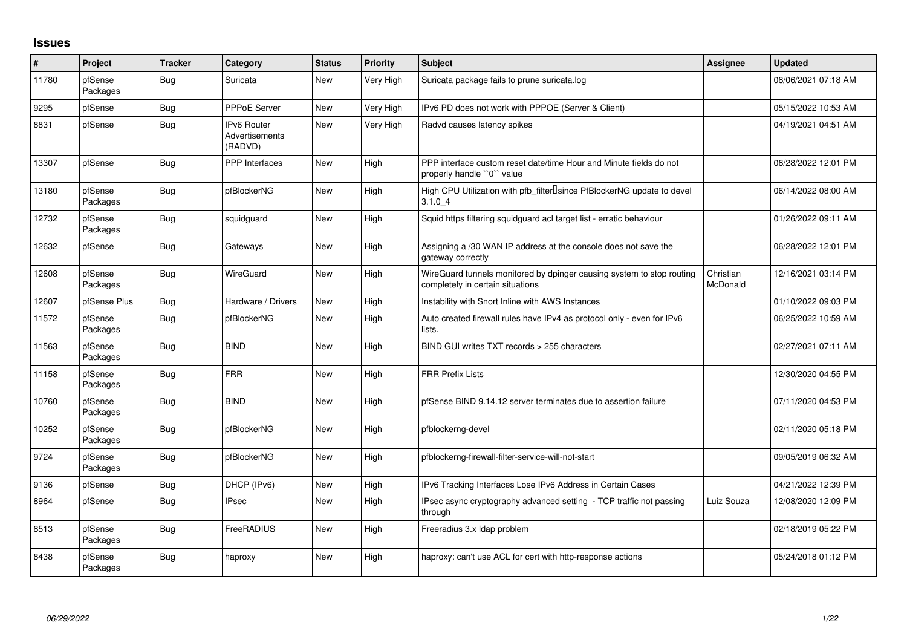## **Issues**

| $\vert$ # | Project             | <b>Tracker</b> | Category                                        | <b>Status</b> | <b>Priority</b> | <b>Subject</b>                                                                                            | <b>Assignee</b>       | <b>Updated</b>      |
|-----------|---------------------|----------------|-------------------------------------------------|---------------|-----------------|-----------------------------------------------------------------------------------------------------------|-----------------------|---------------------|
| 11780     | pfSense<br>Packages | Bug            | Suricata                                        | <b>New</b>    | Very High       | Suricata package fails to prune suricata.log                                                              |                       | 08/06/2021 07:18 AM |
| 9295      | pfSense             | Bug            | <b>PPPoE Server</b>                             | <b>New</b>    | Very High       | IPv6 PD does not work with PPPOE (Server & Client)                                                        |                       | 05/15/2022 10:53 AM |
| 8831      | pfSense             | Bug            | <b>IPv6 Router</b><br>Advertisements<br>(RADVD) | <b>New</b>    | Very High       | Radvd causes latency spikes                                                                               |                       | 04/19/2021 04:51 AM |
| 13307     | pfSense             | <b>Bug</b>     | PPP Interfaces                                  | <b>New</b>    | High            | PPP interface custom reset date/time Hour and Minute fields do not<br>properly handle "0" value           |                       | 06/28/2022 12:01 PM |
| 13180     | pfSense<br>Packages | <b>Bug</b>     | pfBlockerNG                                     | New           | High            | High CPU Utilization with pfb_filter <sup>[]</sup> since PfBlockerNG update to devel<br>3.1.04            |                       | 06/14/2022 08:00 AM |
| 12732     | pfSense<br>Packages | Bug            | squidguard                                      | <b>New</b>    | High            | Squid https filtering squidguard acl target list - erratic behaviour                                      |                       | 01/26/2022 09:11 AM |
| 12632     | pfSense             | Bug            | Gateways                                        | New           | High            | Assigning a /30 WAN IP address at the console does not save the<br>gateway correctly                      |                       | 06/28/2022 12:01 PM |
| 12608     | pfSense<br>Packages | <b>Bug</b>     | WireGuard                                       | New           | High            | WireGuard tunnels monitored by dpinger causing system to stop routing<br>completely in certain situations | Christian<br>McDonald | 12/16/2021 03:14 PM |
| 12607     | pfSense Plus        | <b>Bug</b>     | Hardware / Drivers                              | New           | High            | Instability with Snort Inline with AWS Instances                                                          |                       | 01/10/2022 09:03 PM |
| 11572     | pfSense<br>Packages | <b>Bug</b>     | pfBlockerNG                                     | <b>New</b>    | High            | Auto created firewall rules have IPv4 as protocol only - even for IPv6<br>lists.                          |                       | 06/25/2022 10:59 AM |
| 11563     | pfSense<br>Packages | <b>Bug</b>     | <b>BIND</b>                                     | <b>New</b>    | High            | BIND GUI writes TXT records > 255 characters                                                              |                       | 02/27/2021 07:11 AM |
| 11158     | pfSense<br>Packages | <b>Bug</b>     | <b>FRR</b>                                      | <b>New</b>    | High            | <b>FRR Prefix Lists</b>                                                                                   |                       | 12/30/2020 04:55 PM |
| 10760     | pfSense<br>Packages | <b>Bug</b>     | <b>BIND</b>                                     | <b>New</b>    | High            | pfSense BIND 9.14.12 server terminates due to assertion failure                                           |                       | 07/11/2020 04:53 PM |
| 10252     | pfSense<br>Packages | <b>Bug</b>     | pfBlockerNG                                     | <b>New</b>    | High            | pfblockerng-devel                                                                                         |                       | 02/11/2020 05:18 PM |
| 9724      | pfSense<br>Packages | Bug            | pfBlockerNG                                     | New           | High            | pfblockerng-firewall-filter-service-will-not-start                                                        |                       | 09/05/2019 06:32 AM |
| 9136      | pfSense             | Bug            | DHCP (IPv6)                                     | <b>New</b>    | High            | IPv6 Tracking Interfaces Lose IPv6 Address in Certain Cases                                               |                       | 04/21/2022 12:39 PM |
| 8964      | pfSense             | <b>Bug</b>     | <b>IPsec</b>                                    | New           | High            | IPsec async cryptography advanced setting - TCP traffic not passing<br>through                            | Luiz Souza            | 12/08/2020 12:09 PM |
| 8513      | pfSense<br>Packages | Bug            | FreeRADIUS                                      | New           | High            | Freeradius 3.x Idap problem                                                                               |                       | 02/18/2019 05:22 PM |
| 8438      | pfSense<br>Packages | Bug            | haproxy                                         | <b>New</b>    | High            | haproxy: can't use ACL for cert with http-response actions                                                |                       | 05/24/2018 01:12 PM |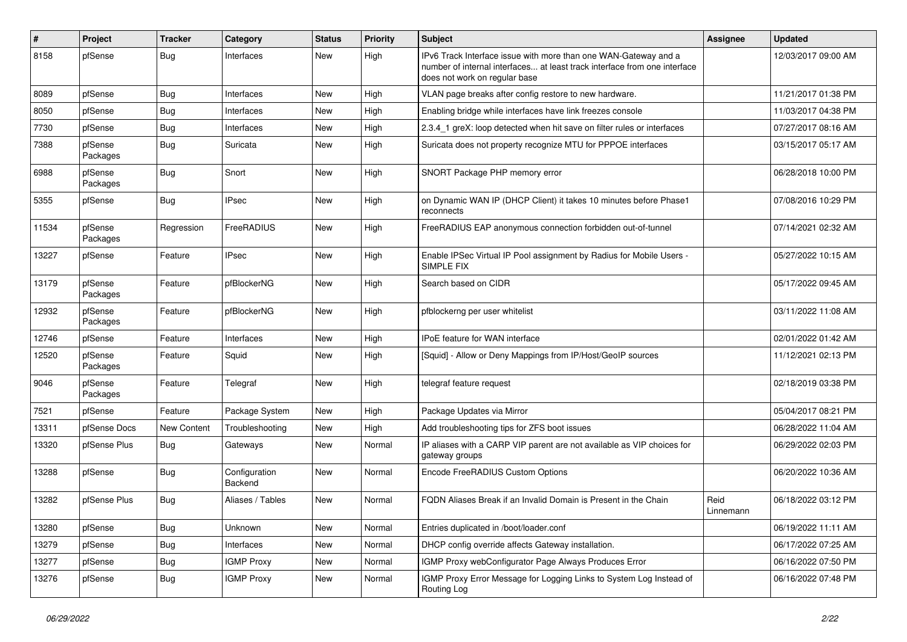| ∦     | Project             | <b>Tracker</b> | Category                 | <b>Status</b> | <b>Priority</b> | Subject                                                                                                                                                                       | Assignee          | <b>Updated</b>      |
|-------|---------------------|----------------|--------------------------|---------------|-----------------|-------------------------------------------------------------------------------------------------------------------------------------------------------------------------------|-------------------|---------------------|
| 8158  | pfSense             | Bug            | Interfaces               | <b>New</b>    | High            | IPv6 Track Interface issue with more than one WAN-Gateway and a<br>number of internal interfaces at least track interface from one interface<br>does not work on regular base |                   | 12/03/2017 09:00 AM |
| 8089  | pfSense             | <b>Bug</b>     | Interfaces               | <b>New</b>    | High            | VLAN page breaks after config restore to new hardware.                                                                                                                        |                   | 11/21/2017 01:38 PM |
| 8050  | pfSense             | <b>Bug</b>     | Interfaces               | <b>New</b>    | High            | Enabling bridge while interfaces have link freezes console                                                                                                                    |                   | 11/03/2017 04:38 PM |
| 7730  | pfSense             | Bug            | Interfaces               | <b>New</b>    | High            | 2.3.4_1 greX: loop detected when hit save on filter rules or interfaces                                                                                                       |                   | 07/27/2017 08:16 AM |
| 7388  | pfSense<br>Packages | Bug            | Suricata                 | <b>New</b>    | High            | Suricata does not property recognize MTU for PPPOE interfaces                                                                                                                 |                   | 03/15/2017 05:17 AM |
| 6988  | pfSense<br>Packages | Bug            | Snort                    | New           | High            | SNORT Package PHP memory error                                                                                                                                                |                   | 06/28/2018 10:00 PM |
| 5355  | pfSense             | Bug            | <b>IPsec</b>             | <b>New</b>    | High            | on Dynamic WAN IP (DHCP Client) it takes 10 minutes before Phase1<br>reconnects                                                                                               |                   | 07/08/2016 10:29 PM |
| 11534 | pfSense<br>Packages | Regression     | FreeRADIUS               | New           | High            | FreeRADIUS EAP anonymous connection forbidden out-of-tunnel                                                                                                                   |                   | 07/14/2021 02:32 AM |
| 13227 | pfSense             | Feature        | <b>IPsec</b>             | <b>New</b>    | High            | Enable IPSec Virtual IP Pool assignment by Radius for Mobile Users -<br><b>SIMPLE FIX</b>                                                                                     |                   | 05/27/2022 10:15 AM |
| 13179 | pfSense<br>Packages | Feature        | pfBlockerNG              | <b>New</b>    | High            | Search based on CIDR                                                                                                                                                          |                   | 05/17/2022 09:45 AM |
| 12932 | pfSense<br>Packages | Feature        | pfBlockerNG              | <b>New</b>    | High            | pfblockerng per user whitelist                                                                                                                                                |                   | 03/11/2022 11:08 AM |
| 12746 | pfSense             | Feature        | Interfaces               | <b>New</b>    | High            | <b>IPoE</b> feature for WAN interface                                                                                                                                         |                   | 02/01/2022 01:42 AM |
| 12520 | pfSense<br>Packages | Feature        | Squid                    | <b>New</b>    | High            | [Squid] - Allow or Deny Mappings from IP/Host/GeoIP sources                                                                                                                   |                   | 11/12/2021 02:13 PM |
| 9046  | pfSense<br>Packages | Feature        | Telegraf                 | <b>New</b>    | High            | telegraf feature request                                                                                                                                                      |                   | 02/18/2019 03:38 PM |
| 7521  | pfSense             | Feature        | Package System           | New           | High            | Package Updates via Mirror                                                                                                                                                    |                   | 05/04/2017 08:21 PM |
| 13311 | pfSense Docs        | New Content    | Troubleshooting          | <b>New</b>    | High            | Add troubleshooting tips for ZFS boot issues                                                                                                                                  |                   | 06/28/2022 11:04 AM |
| 13320 | pfSense Plus        | Bug            | Gateways                 | <b>New</b>    | Normal          | IP aliases with a CARP VIP parent are not available as VIP choices for<br>gateway groups                                                                                      |                   | 06/29/2022 02:03 PM |
| 13288 | pfSense             | Bug            | Configuration<br>Backend | New           | Normal          | Encode FreeRADIUS Custom Options                                                                                                                                              |                   | 06/20/2022 10:36 AM |
| 13282 | pfSense Plus        | Bug            | Aliases / Tables         | <b>New</b>    | Normal          | FQDN Aliases Break if an Invalid Domain is Present in the Chain                                                                                                               | Reid<br>Linnemann | 06/18/2022 03:12 PM |
| 13280 | pfSense             | Bug            | Unknown                  | New           | Normal          | Entries duplicated in /boot/loader.conf                                                                                                                                       |                   | 06/19/2022 11:11 AM |
| 13279 | pfSense             | <b>Bug</b>     | Interfaces               | New           | Normal          | DHCP config override affects Gateway installation.                                                                                                                            |                   | 06/17/2022 07:25 AM |
| 13277 | pfSense             | <b>Bug</b>     | <b>IGMP Proxy</b>        | New           | Normal          | IGMP Proxy webConfigurator Page Always Produces Error                                                                                                                         |                   | 06/16/2022 07:50 PM |
| 13276 | pfSense             | Bug            | <b>IGMP Proxy</b>        | New           | Normal          | IGMP Proxy Error Message for Logging Links to System Log Instead of<br>Routing Log                                                                                            |                   | 06/16/2022 07:48 PM |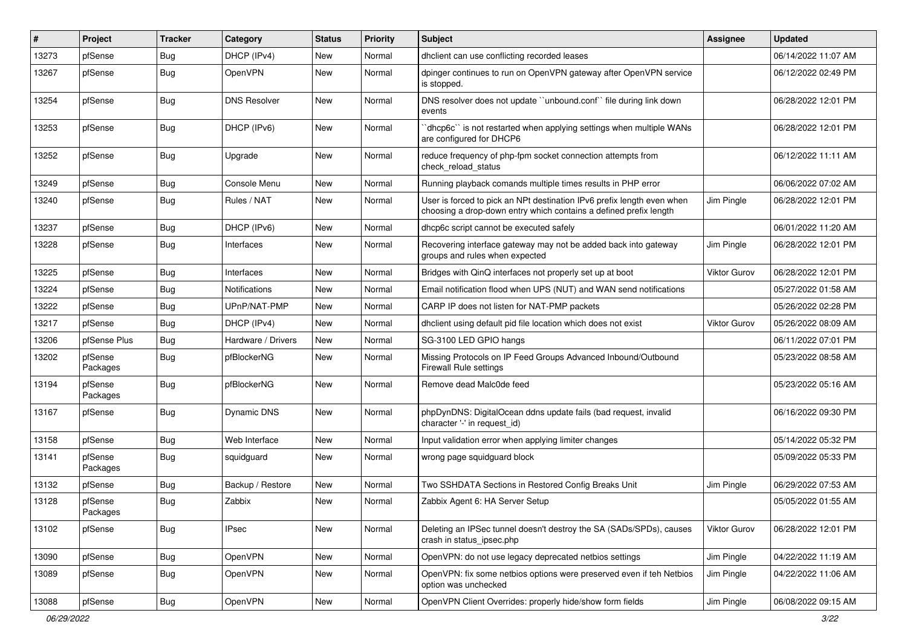| #     | Project             | <b>Tracker</b> | Category             | <b>Status</b> | Priority | Subject                                                                                                                                     | <b>Assignee</b> | <b>Updated</b>      |
|-------|---------------------|----------------|----------------------|---------------|----------|---------------------------------------------------------------------------------------------------------------------------------------------|-----------------|---------------------|
| 13273 | pfSense             | Bug            | DHCP (IPv4)          | New           | Normal   | dhclient can use conflicting recorded leases                                                                                                |                 | 06/14/2022 11:07 AM |
| 13267 | pfSense             | Bug            | OpenVPN              | New           | Normal   | dpinger continues to run on OpenVPN gateway after OpenVPN service<br>is stopped.                                                            |                 | 06/12/2022 02:49 PM |
| 13254 | pfSense             | Bug            | <b>DNS Resolver</b>  | New           | Normal   | DNS resolver does not update "unbound.conf" file during link down<br>events                                                                 |                 | 06/28/2022 12:01 PM |
| 13253 | pfSense             | Bug            | DHCP (IPv6)          | New           | Normal   | 'dhcp6c'' is not restarted when applying settings when multiple WANs<br>are configured for DHCP6                                            |                 | 06/28/2022 12:01 PM |
| 13252 | pfSense             | Bug            | Upgrade              | New           | Normal   | reduce frequency of php-fpm socket connection attempts from<br>check reload status                                                          |                 | 06/12/2022 11:11 AM |
| 13249 | pfSense             | Bug            | Console Menu         | New           | Normal   | Running playback comands multiple times results in PHP error                                                                                |                 | 06/06/2022 07:02 AM |
| 13240 | pfSense             | Bug            | Rules / NAT          | New           | Normal   | User is forced to pick an NPt destination IPv6 prefix length even when<br>choosing a drop-down entry which contains a defined prefix length | Jim Pingle      | 06/28/2022 12:01 PM |
| 13237 | pfSense             | Bug            | DHCP (IPv6)          | New           | Normal   | dhcp6c script cannot be executed safely                                                                                                     |                 | 06/01/2022 11:20 AM |
| 13228 | pfSense             | Bug            | Interfaces           | New           | Normal   | Recovering interface gateway may not be added back into gateway<br>groups and rules when expected                                           | Jim Pingle      | 06/28/2022 12:01 PM |
| 13225 | pfSense             | Bug            | Interfaces           | <b>New</b>    | Normal   | Bridges with QinQ interfaces not properly set up at boot                                                                                    | Viktor Gurov    | 06/28/2022 12:01 PM |
| 13224 | pfSense             | Bug            | <b>Notifications</b> | New           | Normal   | Email notification flood when UPS (NUT) and WAN send notifications                                                                          |                 | 05/27/2022 01:58 AM |
| 13222 | pfSense             | Bug            | UPnP/NAT-PMP         | New           | Normal   | CARP IP does not listen for NAT-PMP packets                                                                                                 |                 | 05/26/2022 02:28 PM |
| 13217 | pfSense             | Bug            | DHCP (IPv4)          | New           | Normal   | dhclient using default pid file location which does not exist                                                                               | Viktor Gurov    | 05/26/2022 08:09 AM |
| 13206 | pfSense Plus        | Bug            | Hardware / Drivers   | New           | Normal   | SG-3100 LED GPIO hangs                                                                                                                      |                 | 06/11/2022 07:01 PM |
| 13202 | pfSense<br>Packages | Bug            | pfBlockerNG          | New           | Normal   | Missing Protocols on IP Feed Groups Advanced Inbound/Outbound<br><b>Firewall Rule settings</b>                                              |                 | 05/23/2022 08:58 AM |
| 13194 | pfSense<br>Packages | Bug            | pfBlockerNG          | <b>New</b>    | Normal   | Remove dead Malc0de feed                                                                                                                    |                 | 05/23/2022 05:16 AM |
| 13167 | pfSense             | Bug            | Dynamic DNS          | <b>New</b>    | Normal   | phpDynDNS: DigitalOcean ddns update fails (bad request, invalid<br>character '-' in request_id)                                             |                 | 06/16/2022 09:30 PM |
| 13158 | pfSense             | Bug            | Web Interface        | New           | Normal   | Input validation error when applying limiter changes                                                                                        |                 | 05/14/2022 05:32 PM |
| 13141 | pfSense<br>Packages | Bug            | squidguard           | New           | Normal   | wrong page squidguard block                                                                                                                 |                 | 05/09/2022 05:33 PM |
| 13132 | pfSense             | Bug            | Backup / Restore     | New           | Normal   | Two SSHDATA Sections in Restored Config Breaks Unit                                                                                         | Jim Pingle      | 06/29/2022 07:53 AM |
| 13128 | pfSense<br>Packages | Bug            | Zabbix               | New           | Normal   | Zabbix Agent 6: HA Server Setup                                                                                                             |                 | 05/05/2022 01:55 AM |
| 13102 | pfSense             | Bug            | <b>IPsec</b>         | New           | Normal   | Deleting an IPSec tunnel doesn't destroy the SA (SADs/SPDs), causes<br>crash in status_ipsec.php                                            | Viktor Gurov    | 06/28/2022 12:01 PM |
| 13090 | pfSense             | Bug            | <b>OpenVPN</b>       | New           | Normal   | OpenVPN: do not use legacy deprecated netbios settings                                                                                      | Jim Pingle      | 04/22/2022 11:19 AM |
| 13089 | pfSense             | <b>Bug</b>     | OpenVPN              | New           | Normal   | OpenVPN: fix some netbios options were preserved even if teh Netbios<br>option was unchecked                                                | Jim Pingle      | 04/22/2022 11:06 AM |
| 13088 | pfSense             | Bug            | <b>OpenVPN</b>       | New           | Normal   | OpenVPN Client Overrides: properly hide/show form fields                                                                                    | Jim Pingle      | 06/08/2022 09:15 AM |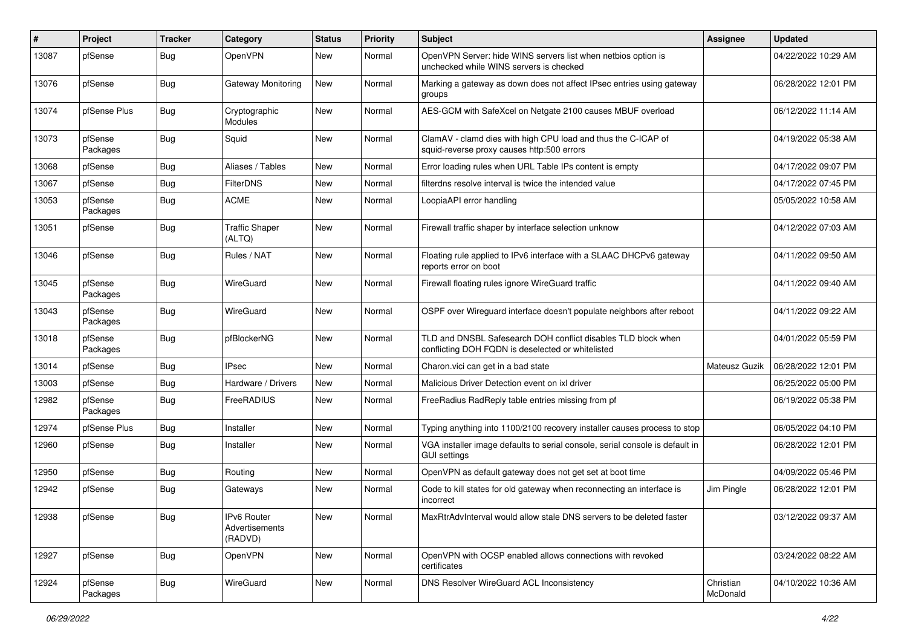| $\#$  | Project             | <b>Tracker</b> | Category                                 | <b>Status</b> | Priority | <b>Subject</b>                                                                                                     | <b>Assignee</b>       | <b>Updated</b>      |
|-------|---------------------|----------------|------------------------------------------|---------------|----------|--------------------------------------------------------------------------------------------------------------------|-----------------------|---------------------|
| 13087 | pfSense             | Bug            | OpenVPN                                  | New           | Normal   | OpenVPN Server: hide WINS servers list when netbios option is<br>unchecked while WINS servers is checked           |                       | 04/22/2022 10:29 AM |
| 13076 | pfSense             | Bug            | <b>Gateway Monitoring</b>                | New           | Normal   | Marking a gateway as down does not affect IPsec entries using gateway<br>groups                                    |                       | 06/28/2022 12:01 PM |
| 13074 | pfSense Plus        | Bug            | Cryptographic<br>Modules                 | New           | Normal   | AES-GCM with SafeXcel on Netgate 2100 causes MBUF overload                                                         |                       | 06/12/2022 11:14 AM |
| 13073 | pfSense<br>Packages | Bug            | Squid                                    | New           | Normal   | ClamAV - clamd dies with high CPU load and thus the C-ICAP of<br>squid-reverse proxy causes http:500 errors        |                       | 04/19/2022 05:38 AM |
| 13068 | pfSense             | Bug            | Aliases / Tables                         | <b>New</b>    | Normal   | Error loading rules when URL Table IPs content is empty                                                            |                       | 04/17/2022 09:07 PM |
| 13067 | pfSense             | Bug            | <b>FilterDNS</b>                         | New           | Normal   | filterdns resolve interval is twice the intended value                                                             |                       | 04/17/2022 07:45 PM |
| 13053 | pfSense<br>Packages | Bug            | <b>ACME</b>                              | New           | Normal   | LoopiaAPI error handling                                                                                           |                       | 05/05/2022 10:58 AM |
| 13051 | pfSense             | Bug            | <b>Traffic Shaper</b><br>(ALTQ)          | New           | Normal   | Firewall traffic shaper by interface selection unknow                                                              |                       | 04/12/2022 07:03 AM |
| 13046 | pfSense             | Bug            | Rules / NAT                              | New           | Normal   | Floating rule applied to IPv6 interface with a SLAAC DHCPv6 gateway<br>reports error on boot                       |                       | 04/11/2022 09:50 AM |
| 13045 | pfSense<br>Packages | Bug            | WireGuard                                | <b>New</b>    | Normal   | Firewall floating rules ignore WireGuard traffic                                                                   |                       | 04/11/2022 09:40 AM |
| 13043 | pfSense<br>Packages | Bug            | WireGuard                                | New           | Normal   | OSPF over Wireguard interface doesn't populate neighbors after reboot                                              |                       | 04/11/2022 09:22 AM |
| 13018 | pfSense<br>Packages | Bug            | pfBlockerNG                              | New           | Normal   | TLD and DNSBL Safesearch DOH conflict disables TLD block when<br>conflicting DOH FQDN is deselected or whitelisted |                       | 04/01/2022 05:59 PM |
| 13014 | pfSense             | Bug            | <b>IPsec</b>                             | New           | Normal   | Charon.vici can get in a bad state                                                                                 | Mateusz Guzik         | 06/28/2022 12:01 PM |
| 13003 | pfSense             | Bug            | Hardware / Drivers                       | <b>New</b>    | Normal   | Malicious Driver Detection event on ixl driver                                                                     |                       | 06/25/2022 05:00 PM |
| 12982 | pfSense<br>Packages | Bug            | FreeRADIUS                               | New           | Normal   | FreeRadius RadReply table entries missing from pf                                                                  |                       | 06/19/2022 05:38 PM |
| 12974 | pfSense Plus        | Bug            | Installer                                | New           | Normal   | Typing anything into 1100/2100 recovery installer causes process to stop                                           |                       | 06/05/2022 04:10 PM |
| 12960 | pfSense             | <b>Bug</b>     | Installer                                | New           | Normal   | VGA installer image defaults to serial console, serial console is default in<br><b>GUI settings</b>                |                       | 06/28/2022 12:01 PM |
| 12950 | pfSense             | Bug            | Routing                                  | New           | Normal   | OpenVPN as default gateway does not get set at boot time                                                           |                       | 04/09/2022 05:46 PM |
| 12942 | pfSense             | Bug            | Gateways                                 | New           | Normal   | Code to kill states for old gateway when reconnecting an interface is<br>incorrect                                 | Jim Pingle            | 06/28/2022 12:01 PM |
| 12938 | pfSense             | <b>Bug</b>     | IPv6 Router<br>Advertisements<br>(RADVD) | New           | Normal   | MaxRtrAdvInterval would allow stale DNS servers to be deleted faster                                               |                       | 03/12/2022 09:37 AM |
| 12927 | pfSense             | Bug            | OpenVPN                                  | New           | Normal   | OpenVPN with OCSP enabled allows connections with revoked<br>certificates                                          |                       | 03/24/2022 08:22 AM |
| 12924 | pfSense<br>Packages | <b>Bug</b>     | WireGuard                                | New           | Normal   | DNS Resolver WireGuard ACL Inconsistency                                                                           | Christian<br>McDonald | 04/10/2022 10:36 AM |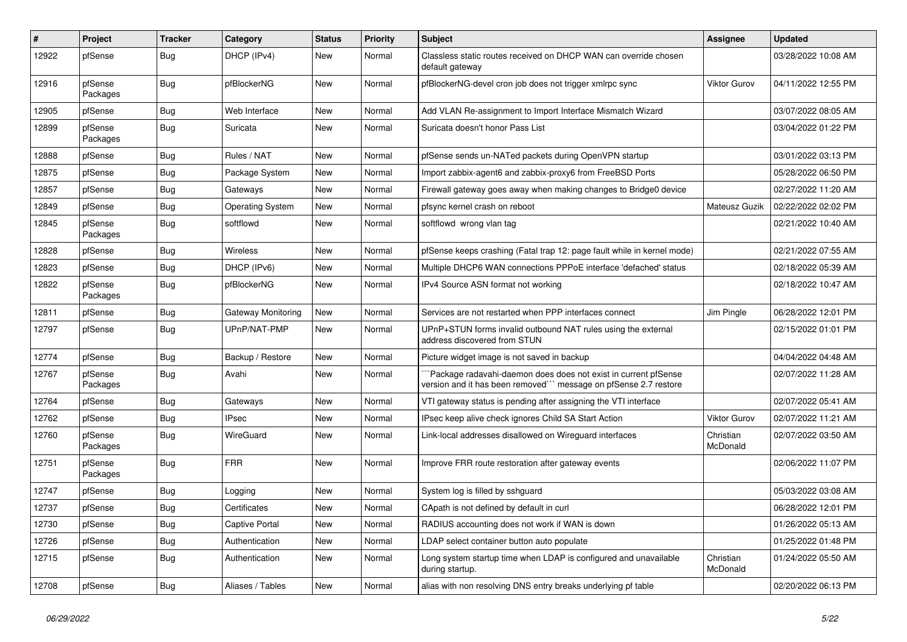| #     | Project             | <b>Tracker</b> | Category                | <b>Status</b> | <b>Priority</b> | <b>Subject</b>                                                                                                                     | <b>Assignee</b>       | <b>Updated</b>      |
|-------|---------------------|----------------|-------------------------|---------------|-----------------|------------------------------------------------------------------------------------------------------------------------------------|-----------------------|---------------------|
| 12922 | pfSense             | Bug            | DHCP (IPv4)             | <b>New</b>    | Normal          | Classless static routes received on DHCP WAN can override chosen<br>default gateway                                                |                       | 03/28/2022 10:08 AM |
| 12916 | pfSense<br>Packages | Bug            | pfBlockerNG             | <b>New</b>    | Normal          | pfBlockerNG-devel cron job does not trigger xmlrpc sync                                                                            | Viktor Gurov          | 04/11/2022 12:55 PM |
| 12905 | pfSense             | Bug            | Web Interface           | <b>New</b>    | Normal          | Add VLAN Re-assignment to Import Interface Mismatch Wizard                                                                         |                       | 03/07/2022 08:05 AM |
| 12899 | pfSense<br>Packages | Bug            | Suricata                | <b>New</b>    | Normal          | Suricata doesn't honor Pass List                                                                                                   |                       | 03/04/2022 01:22 PM |
| 12888 | pfSense             | Bug            | Rules / NAT             | <b>New</b>    | Normal          | pfSense sends un-NATed packets during OpenVPN startup                                                                              |                       | 03/01/2022 03:13 PM |
| 12875 | pfSense             | Bug            | Package System          | <b>New</b>    | Normal          | Import zabbix-agent6 and zabbix-proxy6 from FreeBSD Ports                                                                          |                       | 05/28/2022 06:50 PM |
| 12857 | pfSense             | Bug            | Gateways                | <b>New</b>    | Normal          | Firewall gateway goes away when making changes to Bridge0 device                                                                   |                       | 02/27/2022 11:20 AM |
| 12849 | pfSense             | Bug            | <b>Operating System</b> | New           | Normal          | pfsync kernel crash on reboot                                                                                                      | Mateusz Guzik         | 02/22/2022 02:02 PM |
| 12845 | pfSense<br>Packages | <b>Bug</b>     | softflowd               | New           | Normal          | softflowd wrong vlan tag                                                                                                           |                       | 02/21/2022 10:40 AM |
| 12828 | pfSense             | Bug            | Wireless                | <b>New</b>    | Normal          | pfSense keeps crashing (Fatal trap 12: page fault while in kernel mode)                                                            |                       | 02/21/2022 07:55 AM |
| 12823 | pfSense             | Bug            | DHCP (IPv6)             | <b>New</b>    | Normal          | Multiple DHCP6 WAN connections PPPoE interface 'defached' status                                                                   |                       | 02/18/2022 05:39 AM |
| 12822 | pfSense<br>Packages | Bug            | pfBlockerNG             | New           | Normal          | IPv4 Source ASN format not working                                                                                                 |                       | 02/18/2022 10:47 AM |
| 12811 | pfSense             | Bug            | Gateway Monitoring      | <b>New</b>    | Normal          | Services are not restarted when PPP interfaces connect                                                                             | Jim Pingle            | 06/28/2022 12:01 PM |
| 12797 | pfSense             | Bug            | UPnP/NAT-PMP            | New           | Normal          | UPnP+STUN forms invalid outbound NAT rules using the external<br>address discovered from STUN                                      |                       | 02/15/2022 01:01 PM |
| 12774 | pfSense             | Bug            | Backup / Restore        | New           | Normal          | Picture widget image is not saved in backup                                                                                        |                       | 04/04/2022 04:48 AM |
| 12767 | pfSense<br>Packages | Bug            | Avahi                   | <b>New</b>    | Normal          | `Package radavahi-daemon does does not exist in current pfSense<br>version and it has been removed" message on pfSense 2.7 restore |                       | 02/07/2022 11:28 AM |
| 12764 | pfSense             | Bug            | Gateways                | <b>New</b>    | Normal          | VTI gateway status is pending after assigning the VTI interface                                                                    |                       | 02/07/2022 05:41 AM |
| 12762 | pfSense             | Bug            | <b>IPsec</b>            | <b>New</b>    | Normal          | IPsec keep alive check ignores Child SA Start Action                                                                               | <b>Viktor Gurov</b>   | 02/07/2022 11:21 AM |
| 12760 | pfSense<br>Packages | i Bug          | WireGuard               | <b>New</b>    | Normal          | Link-local addresses disallowed on Wireguard interfaces                                                                            | Christian<br>McDonald | 02/07/2022 03:50 AM |
| 12751 | pfSense<br>Packages | <b>Bug</b>     | <b>FRR</b>              | <b>New</b>    | Normal          | Improve FRR route restoration after gateway events                                                                                 |                       | 02/06/2022 11:07 PM |
| 12747 | pfSense             | Bug            | Logging                 | New           | Normal          | System log is filled by sshguard                                                                                                   |                       | 05/03/2022 03:08 AM |
| 12737 | pfSense             | Bug            | Certificates            | New           | Normal          | CApath is not defined by default in curl                                                                                           |                       | 06/28/2022 12:01 PM |
| 12730 | pfSense             | Bug            | <b>Captive Portal</b>   | New           | Normal          | RADIUS accounting does not work if WAN is down                                                                                     |                       | 01/26/2022 05:13 AM |
| 12726 | pfSense             | Bug            | Authentication          | New           | Normal          | LDAP select container button auto populate                                                                                         |                       | 01/25/2022 01:48 PM |
| 12715 | pfSense             | <b>Bug</b>     | Authentication          | New           | Normal          | Long system startup time when LDAP is configured and unavailable<br>during startup.                                                | Christian<br>McDonald | 01/24/2022 05:50 AM |
| 12708 | pfSense             | <b>Bug</b>     | Aliases / Tables        | New           | Normal          | alias with non resolving DNS entry breaks underlying pf table                                                                      |                       | 02/20/2022 06:13 PM |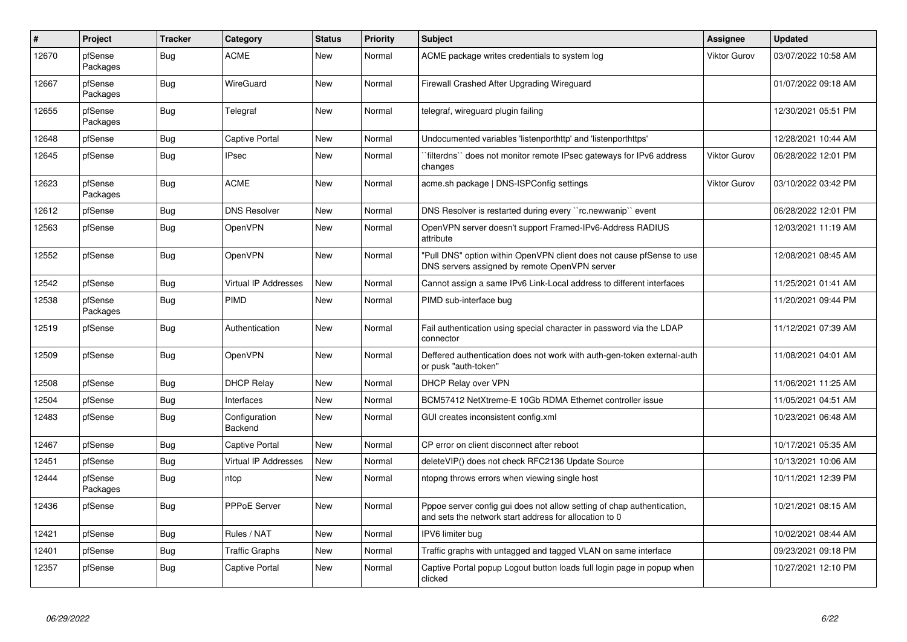| $\vert$ # | Project             | <b>Tracker</b> | Category                    | <b>Status</b> | <b>Priority</b> | <b>Subject</b>                                                                                                                   | Assignee            | <b>Updated</b>      |
|-----------|---------------------|----------------|-----------------------------|---------------|-----------------|----------------------------------------------------------------------------------------------------------------------------------|---------------------|---------------------|
| 12670     | pfSense<br>Packages | Bug            | <b>ACME</b>                 | <b>New</b>    | Normal          | ACME package writes credentials to system log                                                                                    | <b>Viktor Gurov</b> | 03/07/2022 10:58 AM |
| 12667     | pfSense<br>Packages | <b>Bug</b>     | WireGuard                   | <b>New</b>    | Normal          | Firewall Crashed After Upgrading Wireguard                                                                                       |                     | 01/07/2022 09:18 AM |
| 12655     | pfSense<br>Packages | Bug            | Telegraf                    | <b>New</b>    | Normal          | telegraf, wireguard plugin failing                                                                                               |                     | 12/30/2021 05:51 PM |
| 12648     | pfSense             | <b>Bug</b>     | <b>Captive Portal</b>       | <b>New</b>    | Normal          | Undocumented variables 'listenporthttp' and 'listenporthttps'                                                                    |                     | 12/28/2021 10:44 AM |
| 12645     | pfSense             | Bug            | IPsec                       | New           | Normal          | filterdns`` does not monitor remote IPsec gateways for IPv6 address<br>changes                                                   | <b>Viktor Gurov</b> | 06/28/2022 12:01 PM |
| 12623     | pfSense<br>Packages | Bug            | <b>ACME</b>                 | <b>New</b>    | Normal          | acme.sh package   DNS-ISPConfig settings                                                                                         | <b>Viktor Gurov</b> | 03/10/2022 03:42 PM |
| 12612     | pfSense             | Bug            | <b>DNS Resolver</b>         | <b>New</b>    | Normal          | DNS Resolver is restarted during every "rc.newwanip" event                                                                       |                     | 06/28/2022 12:01 PM |
| 12563     | pfSense             | <b>Bug</b>     | OpenVPN                     | <b>New</b>    | Normal          | OpenVPN server doesn't support Framed-IPv6-Address RADIUS<br>attribute                                                           |                     | 12/03/2021 11:19 AM |
| 12552     | pfSense             | <b>Bug</b>     | OpenVPN                     | <b>New</b>    | Normal          | "Pull DNS" option within OpenVPN client does not cause pfSense to use<br>DNS servers assigned by remote OpenVPN server           |                     | 12/08/2021 08:45 AM |
| 12542     | pfSense             | <b>Bug</b>     | <b>Virtual IP Addresses</b> | <b>New</b>    | Normal          | Cannot assign a same IPv6 Link-Local address to different interfaces                                                             |                     | 11/25/2021 01:41 AM |
| 12538     | pfSense<br>Packages | <b>Bug</b>     | PIMD                        | <b>New</b>    | Normal          | PIMD sub-interface bug                                                                                                           |                     | 11/20/2021 09:44 PM |
| 12519     | pfSense             | Bug            | Authentication              | <b>New</b>    | Normal          | Fail authentication using special character in password via the LDAP<br>connector                                                |                     | 11/12/2021 07:39 AM |
| 12509     | pfSense             | Bug            | <b>OpenVPN</b>              | <b>New</b>    | Normal          | Deffered authentication does not work with auth-gen-token external-auth<br>or pusk "auth-token"                                  |                     | 11/08/2021 04:01 AM |
| 12508     | pfSense             | Bug            | <b>DHCP Relay</b>           | <b>New</b>    | Normal          | <b>DHCP Relay over VPN</b>                                                                                                       |                     | 11/06/2021 11:25 AM |
| 12504     | pfSense             | <b>Bug</b>     | Interfaces                  | <b>New</b>    | Normal          | BCM57412 NetXtreme-E 10Gb RDMA Ethernet controller issue                                                                         |                     | 11/05/2021 04:51 AM |
| 12483     | pfSense             | Bug            | Configuration<br>Backend    | <b>New</b>    | Normal          | GUI creates inconsistent config.xml                                                                                              |                     | 10/23/2021 06:48 AM |
| 12467     | pfSense             | <b>Bug</b>     | <b>Captive Portal</b>       | <b>New</b>    | Normal          | CP error on client disconnect after reboot                                                                                       |                     | 10/17/2021 05:35 AM |
| 12451     | pfSense             | Bug            | Virtual IP Addresses        | <b>New</b>    | Normal          | deleteVIP() does not check RFC2136 Update Source                                                                                 |                     | 10/13/2021 10:06 AM |
| 12444     | pfSense<br>Packages | <b>Bug</b>     | ntop                        | <b>New</b>    | Normal          | ntopng throws errors when viewing single host                                                                                    |                     | 10/11/2021 12:39 PM |
| 12436     | pfSense             | Bug            | <b>PPPoE Server</b>         | <b>New</b>    | Normal          | Pppoe server config gui does not allow setting of chap authentication,<br>and sets the network start address for allocation to 0 |                     | 10/21/2021 08:15 AM |
| 12421     | pfSense             | <b>Bug</b>     | Rules / NAT                 | <b>New</b>    | Normal          | IPV6 limiter bug                                                                                                                 |                     | 10/02/2021 08:44 AM |
| 12401     | pfSense             | Bug            | Traffic Graphs              | New           | Normal          | Traffic graphs with untagged and tagged VLAN on same interface                                                                   |                     | 09/23/2021 09:18 PM |
| 12357     | pfSense             | <b>Bug</b>     | Captive Portal              | <b>New</b>    | Normal          | Captive Portal popup Logout button loads full login page in popup when<br>clicked                                                |                     | 10/27/2021 12:10 PM |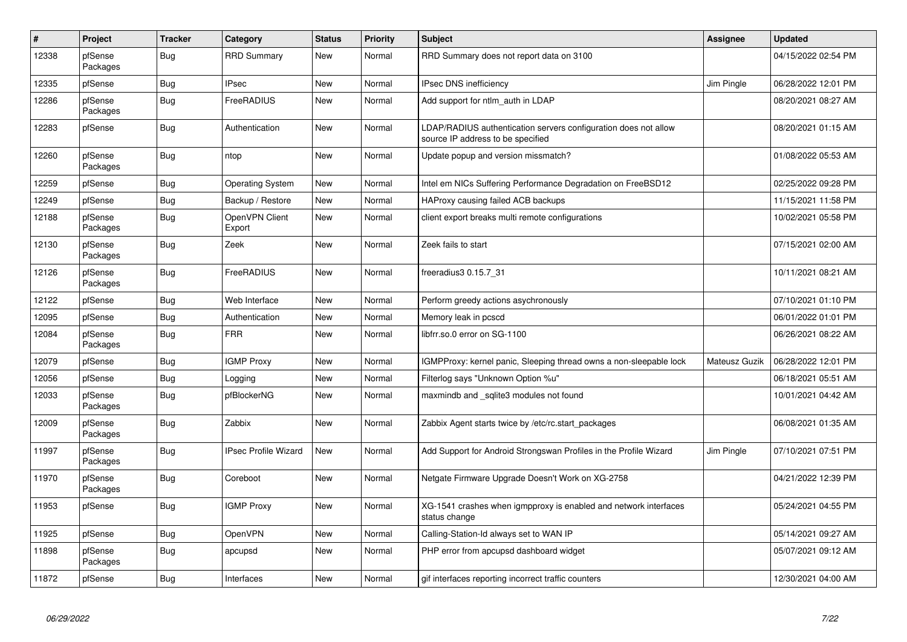| $\vert$ # | Project             | <b>Tracker</b> | Category                    | <b>Status</b> | <b>Priority</b> | <b>Subject</b>                                                                                       | <b>Assignee</b> | <b>Updated</b>      |
|-----------|---------------------|----------------|-----------------------------|---------------|-----------------|------------------------------------------------------------------------------------------------------|-----------------|---------------------|
| 12338     | pfSense<br>Packages | Bug            | <b>RRD Summary</b>          | <b>New</b>    | Normal          | RRD Summary does not report data on 3100                                                             |                 | 04/15/2022 02:54 PM |
| 12335     | pfSense             | Bug            | <b>IPsec</b>                | <b>New</b>    | Normal          | <b>IPsec DNS inefficiency</b>                                                                        | Jim Pingle      | 06/28/2022 12:01 PM |
| 12286     | pfSense<br>Packages | Bug            | FreeRADIUS                  | <b>New</b>    | Normal          | Add support for ntlm_auth in LDAP                                                                    |                 | 08/20/2021 08:27 AM |
| 12283     | pfSense             | Bug            | Authentication              | New           | Normal          | LDAP/RADIUS authentication servers configuration does not allow<br>source IP address to be specified |                 | 08/20/2021 01:15 AM |
| 12260     | pfSense<br>Packages | <b>Bug</b>     | ntop                        | <b>New</b>    | Normal          | Update popup and version missmatch?                                                                  |                 | 01/08/2022 05:53 AM |
| 12259     | pfSense             | Bug            | <b>Operating System</b>     | <b>New</b>    | Normal          | Intel em NICs Suffering Performance Degradation on FreeBSD12                                         |                 | 02/25/2022 09:28 PM |
| 12249     | pfSense             | <b>Bug</b>     | Backup / Restore            | <b>New</b>    | Normal          | HAProxy causing failed ACB backups                                                                   |                 | 11/15/2021 11:58 PM |
| 12188     | pfSense<br>Packages | <b>Bug</b>     | OpenVPN Client<br>Export    | <b>New</b>    | Normal          | client export breaks multi remote configurations                                                     |                 | 10/02/2021 05:58 PM |
| 12130     | pfSense<br>Packages | <b>Bug</b>     | Zeek                        | <b>New</b>    | Normal          | Zeek fails to start                                                                                  |                 | 07/15/2021 02:00 AM |
| 12126     | pfSense<br>Packages | Bug            | FreeRADIUS                  | <b>New</b>    | Normal          | freeradius3 0.15.7 31                                                                                |                 | 10/11/2021 08:21 AM |
| 12122     | pfSense             | Bug            | Web Interface               | New           | Normal          | Perform greedy actions asychronously                                                                 |                 | 07/10/2021 01:10 PM |
| 12095     | pfSense             | Bug            | Authentication              | <b>New</b>    | Normal          | Memory leak in pcscd                                                                                 |                 | 06/01/2022 01:01 PM |
| 12084     | pfSense<br>Packages | Bug            | <b>FRR</b>                  | <b>New</b>    | Normal          | libfrr.so.0 error on SG-1100                                                                         |                 | 06/26/2021 08:22 AM |
| 12079     | pfSense             | Bug            | <b>IGMP Proxy</b>           | <b>New</b>    | Normal          | IGMPProxy: kernel panic, Sleeping thread owns a non-sleepable lock                                   | Mateusz Guzik   | 06/28/2022 12:01 PM |
| 12056     | pfSense             | <b>Bug</b>     | Logging                     | <b>New</b>    | Normal          | Filterlog says "Unknown Option %u"                                                                   |                 | 06/18/2021 05:51 AM |
| 12033     | pfSense<br>Packages | Bug            | pfBlockerNG                 | <b>New</b>    | Normal          | maxmindb and _sqlite3 modules not found                                                              |                 | 10/01/2021 04:42 AM |
| 12009     | pfSense<br>Packages | Bug            | Zabbix                      | <b>New</b>    | Normal          | Zabbix Agent starts twice by /etc/rc.start packages                                                  |                 | 06/08/2021 01:35 AM |
| 11997     | pfSense<br>Packages | Bug            | <b>IPsec Profile Wizard</b> | <b>New</b>    | Normal          | Add Support for Android Strongswan Profiles in the Profile Wizard                                    | Jim Pingle      | 07/10/2021 07:51 PM |
| 11970     | pfSense<br>Packages | Bug            | Coreboot                    | <b>New</b>    | Normal          | Netgate Firmware Upgrade Doesn't Work on XG-2758                                                     |                 | 04/21/2022 12:39 PM |
| 11953     | pfSense             | <b>Bug</b>     | <b>IGMP Proxy</b>           | <b>New</b>    | Normal          | XG-1541 crashes when igmpproxy is enabled and network interfaces<br>status change                    |                 | 05/24/2021 04:55 PM |
| 11925     | pfSense             | Bug            | OpenVPN                     | New           | Normal          | Calling-Station-Id always set to WAN IP                                                              |                 | 05/14/2021 09:27 AM |
| 11898     | pfSense<br>Packages | Bug            | apcupsd                     | New           | Normal          | PHP error from apcupsd dashboard widget                                                              |                 | 05/07/2021 09:12 AM |
| 11872     | pfSense             | <b>Bug</b>     | Interfaces                  | New           | Normal          | gif interfaces reporting incorrect traffic counters                                                  |                 | 12/30/2021 04:00 AM |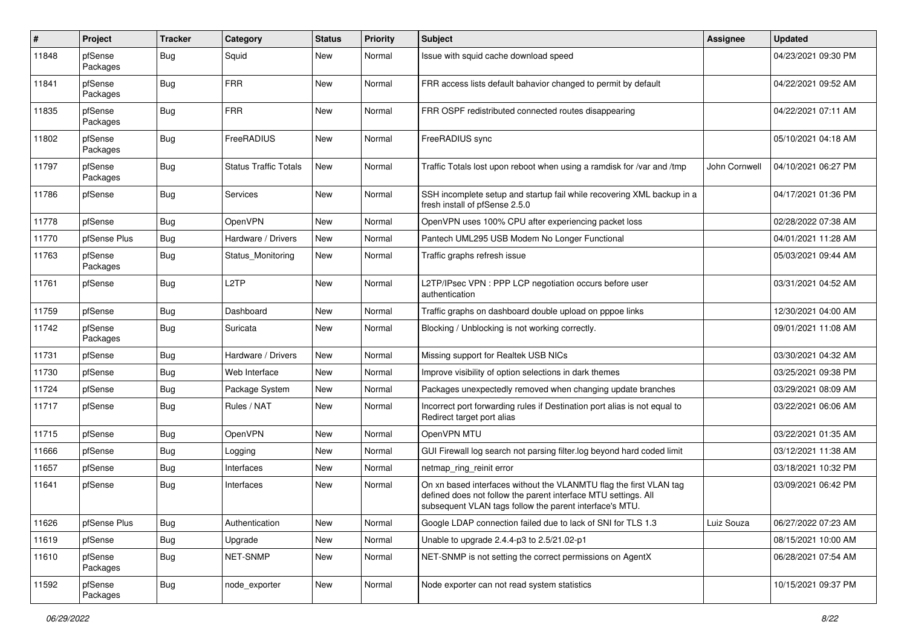| #     | Project             | <b>Tracker</b> | Category                     | <b>Status</b> | <b>Priority</b> | <b>Subject</b>                                                                                                                                                                                  | Assignee      | <b>Updated</b>      |
|-------|---------------------|----------------|------------------------------|---------------|-----------------|-------------------------------------------------------------------------------------------------------------------------------------------------------------------------------------------------|---------------|---------------------|
| 11848 | pfSense<br>Packages | Bug            | Squid                        | <b>New</b>    | Normal          | Issue with squid cache download speed                                                                                                                                                           |               | 04/23/2021 09:30 PM |
| 11841 | pfSense<br>Packages | Bug            | <b>FRR</b>                   | <b>New</b>    | Normal          | FRR access lists default bahavior changed to permit by default                                                                                                                                  |               | 04/22/2021 09:52 AM |
| 11835 | pfSense<br>Packages | Bug            | <b>FRR</b>                   | New           | Normal          | FRR OSPF redistributed connected routes disappearing                                                                                                                                            |               | 04/22/2021 07:11 AM |
| 11802 | pfSense<br>Packages | Bug            | FreeRADIUS                   | New           | Normal          | FreeRADIUS sync                                                                                                                                                                                 |               | 05/10/2021 04:18 AM |
| 11797 | pfSense<br>Packages | i Bug          | <b>Status Traffic Totals</b> | New           | Normal          | Traffic Totals lost upon reboot when using a ramdisk for /var and /tmp                                                                                                                          | John Cornwell | 04/10/2021 06:27 PM |
| 11786 | pfSense             | Bug            | Services                     | New           | Normal          | SSH incomplete setup and startup fail while recovering XML backup in a<br>fresh install of pfSense 2.5.0                                                                                        |               | 04/17/2021 01:36 PM |
| 11778 | pfSense             | Bug            | OpenVPN                      | New           | Normal          | OpenVPN uses 100% CPU after experiencing packet loss                                                                                                                                            |               | 02/28/2022 07:38 AM |
| 11770 | pfSense Plus        | Bug            | Hardware / Drivers           | New           | Normal          | Pantech UML295 USB Modem No Longer Functional                                                                                                                                                   |               | 04/01/2021 11:28 AM |
| 11763 | pfSense<br>Packages | <b>Bug</b>     | Status Monitoring            | New           | Normal          | Traffic graphs refresh issue                                                                                                                                                                    |               | 05/03/2021 09:44 AM |
| 11761 | pfSense             | <b>Bug</b>     | L <sub>2</sub> TP            | New           | Normal          | L2TP/IPsec VPN : PPP LCP negotiation occurs before user<br>authentication                                                                                                                       |               | 03/31/2021 04:52 AM |
| 11759 | pfSense             | Bug            | Dashboard                    | New           | Normal          | Traffic graphs on dashboard double upload on pppoe links                                                                                                                                        |               | 12/30/2021 04:00 AM |
| 11742 | pfSense<br>Packages | Bug            | Suricata                     | New           | Normal          | Blocking / Unblocking is not working correctly.                                                                                                                                                 |               | 09/01/2021 11:08 AM |
| 11731 | pfSense             | Bug            | Hardware / Drivers           | New           | Normal          | Missing support for Realtek USB NICs                                                                                                                                                            |               | 03/30/2021 04:32 AM |
| 11730 | pfSense             | <b>Bug</b>     | Web Interface                | New           | Normal          | Improve visibility of option selections in dark themes                                                                                                                                          |               | 03/25/2021 09:38 PM |
| 11724 | pfSense             | Bug            | Package System               | New           | Normal          | Packages unexpectedly removed when changing update branches                                                                                                                                     |               | 03/29/2021 08:09 AM |
| 11717 | pfSense             | Bug            | Rules / NAT                  | New           | Normal          | Incorrect port forwarding rules if Destination port alias is not equal to<br>Redirect target port alias                                                                                         |               | 03/22/2021 06:06 AM |
| 11715 | pfSense             | Bug            | OpenVPN                      | New           | Normal          | OpenVPN MTU                                                                                                                                                                                     |               | 03/22/2021 01:35 AM |
| 11666 | pfSense             | Bug            | Logging                      | New           | Normal          | GUI Firewall log search not parsing filter.log beyond hard coded limit                                                                                                                          |               | 03/12/2021 11:38 AM |
| 11657 | pfSense             | <b>Bug</b>     | Interfaces                   | New           | Normal          | netmap_ring_reinit error                                                                                                                                                                        |               | 03/18/2021 10:32 PM |
| 11641 | pfSense             | Bug            | Interfaces                   | New           | Normal          | On xn based interfaces without the VLANMTU flag the first VLAN tag<br>defined does not follow the parent interface MTU settings. All<br>subsequent VLAN tags follow the parent interface's MTU. |               | 03/09/2021 06:42 PM |
| 11626 | pfSense Plus        | <b>Bug</b>     | Authentication               | New           | Normal          | Google LDAP connection failed due to lack of SNI for TLS 1.3                                                                                                                                    | Luiz Souza    | 06/27/2022 07:23 AM |
| 11619 | pfSense             | <b>Bug</b>     | Upgrade                      | New           | Normal          | Unable to upgrade 2.4.4-p3 to 2.5/21.02-p1                                                                                                                                                      |               | 08/15/2021 10:00 AM |
| 11610 | pfSense<br>Packages | <b>Bug</b>     | NET-SNMP                     | New           | Normal          | NET-SNMP is not setting the correct permissions on AgentX                                                                                                                                       |               | 06/28/2021 07:54 AM |
| 11592 | pfSense<br>Packages | Bug            | node_exporter                | New           | Normal          | Node exporter can not read system statistics                                                                                                                                                    |               | 10/15/2021 09:37 PM |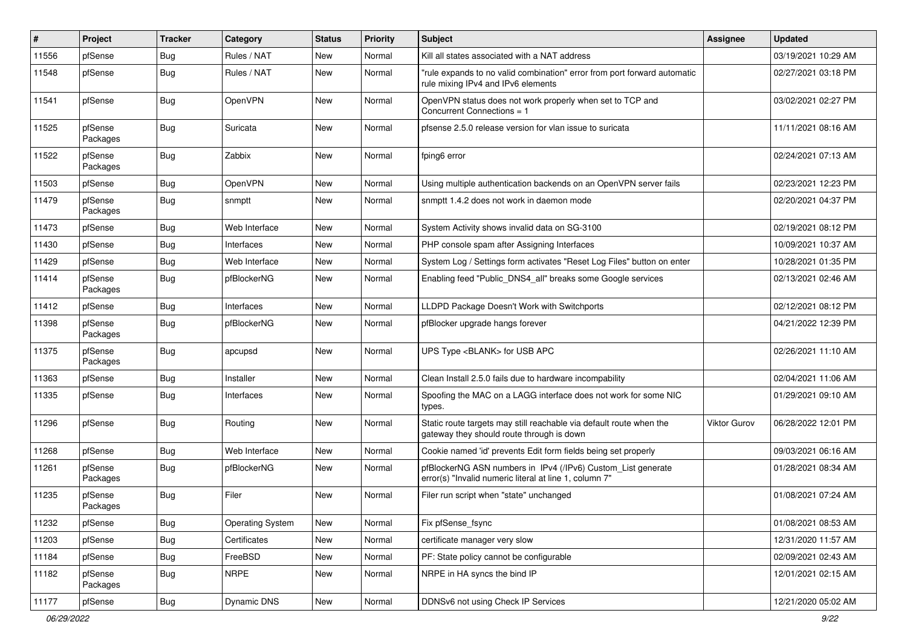| $\vert$ # | Project             | <b>Tracker</b> | Category                | <b>Status</b> | <b>Priority</b> | <b>Subject</b>                                                                                                         | <b>Assignee</b> | <b>Updated</b>      |
|-----------|---------------------|----------------|-------------------------|---------------|-----------------|------------------------------------------------------------------------------------------------------------------------|-----------------|---------------------|
| 11556     | pfSense             | Bug            | Rules / NAT             | New           | Normal          | Kill all states associated with a NAT address                                                                          |                 | 03/19/2021 10:29 AM |
| 11548     | pfSense             | Bug            | Rules / NAT             | New           | Normal          | "rule expands to no valid combination" error from port forward automatic<br>rule mixing IPv4 and IPv6 elements         |                 | 02/27/2021 03:18 PM |
| 11541     | pfSense             | Bug            | OpenVPN                 | New           | Normal          | OpenVPN status does not work properly when set to TCP and<br>Concurrent Connections = 1                                |                 | 03/02/2021 02:27 PM |
| 11525     | pfSense<br>Packages | Bug            | Suricata                | New           | Normal          | pfsense 2.5.0 release version for vlan issue to suricata                                                               |                 | 11/11/2021 08:16 AM |
| 11522     | pfSense<br>Packages | Bug            | Zabbix                  | New           | Normal          | fping6 error                                                                                                           |                 | 02/24/2021 07:13 AM |
| 11503     | pfSense             | Bug            | OpenVPN                 | New           | Normal          | Using multiple authentication backends on an OpenVPN server fails                                                      |                 | 02/23/2021 12:23 PM |
| 11479     | pfSense<br>Packages | Bug            | snmptt                  | New           | Normal          | snmptt 1.4.2 does not work in daemon mode                                                                              |                 | 02/20/2021 04:37 PM |
| 11473     | pfSense             | Bug            | Web Interface           | <b>New</b>    | Normal          | System Activity shows invalid data on SG-3100                                                                          |                 | 02/19/2021 08:12 PM |
| 11430     | pfSense             | Bug            | Interfaces              | New           | Normal          | PHP console spam after Assigning Interfaces                                                                            |                 | 10/09/2021 10:37 AM |
| 11429     | pfSense             | <b>Bug</b>     | Web Interface           | New           | Normal          | System Log / Settings form activates "Reset Log Files" button on enter                                                 |                 | 10/28/2021 01:35 PM |
| 11414     | pfSense<br>Packages | Bug            | pfBlockerNG             | New           | Normal          | Enabling feed "Public DNS4 all" breaks some Google services                                                            |                 | 02/13/2021 02:46 AM |
| 11412     | pfSense             | Bug            | Interfaces              | New           | Normal          | LLDPD Package Doesn't Work with Switchports                                                                            |                 | 02/12/2021 08:12 PM |
| 11398     | pfSense<br>Packages | Bug            | pfBlockerNG             | New           | Normal          | pfBlocker upgrade hangs forever                                                                                        |                 | 04/21/2022 12:39 PM |
| 11375     | pfSense<br>Packages | Bug            | apcupsd                 | <b>New</b>    | Normal          | UPS Type <blank> for USB APC</blank>                                                                                   |                 | 02/26/2021 11:10 AM |
| 11363     | pfSense             | Bug            | Installer               | New           | Normal          | Clean Install 2.5.0 fails due to hardware incompability                                                                |                 | 02/04/2021 11:06 AM |
| 11335     | pfSense             | Bug            | Interfaces              | New           | Normal          | Spoofing the MAC on a LAGG interface does not work for some NIC<br>types.                                              |                 | 01/29/2021 09:10 AM |
| 11296     | pfSense             | Bug            | Routing                 | New           | Normal          | Static route targets may still reachable via default route when the<br>gateway they should route through is down       | Viktor Gurov    | 06/28/2022 12:01 PM |
| 11268     | pfSense             | <b>Bug</b>     | Web Interface           | New           | Normal          | Cookie named 'id' prevents Edit form fields being set properly                                                         |                 | 09/03/2021 06:16 AM |
| 11261     | pfSense<br>Packages | Bug            | pfBlockerNG             | <b>New</b>    | Normal          | pfBlockerNG ASN numbers in IPv4 (/IPv6) Custom_List generate<br>error(s) "Invalid numeric literal at line 1, column 7" |                 | 01/28/2021 08:34 AM |
| 11235     | pfSense<br>Packages | Bug            | Filer                   | New           | Normal          | Filer run script when "state" unchanged                                                                                |                 | 01/08/2021 07:24 AM |
| 11232     | pfSense             | <b>Bug</b>     | <b>Operating System</b> | New           | Normal          | Fix pfSense_fsync                                                                                                      |                 | 01/08/2021 08:53 AM |
| 11203     | pfSense             | <b>Bug</b>     | Certificates            | New           | Normal          | certificate manager very slow                                                                                          |                 | 12/31/2020 11:57 AM |
| 11184     | pfSense             | <b>Bug</b>     | FreeBSD                 | New           | Normal          | PF: State policy cannot be configurable                                                                                |                 | 02/09/2021 02:43 AM |
| 11182     | pfSense<br>Packages | <b>Bug</b>     | <b>NRPE</b>             | New           | Normal          | NRPE in HA syncs the bind IP                                                                                           |                 | 12/01/2021 02:15 AM |
| 11177     | pfSense             | Bug            | Dynamic DNS             | New           | Normal          | DDNSv6 not using Check IP Services                                                                                     |                 | 12/21/2020 05:02 AM |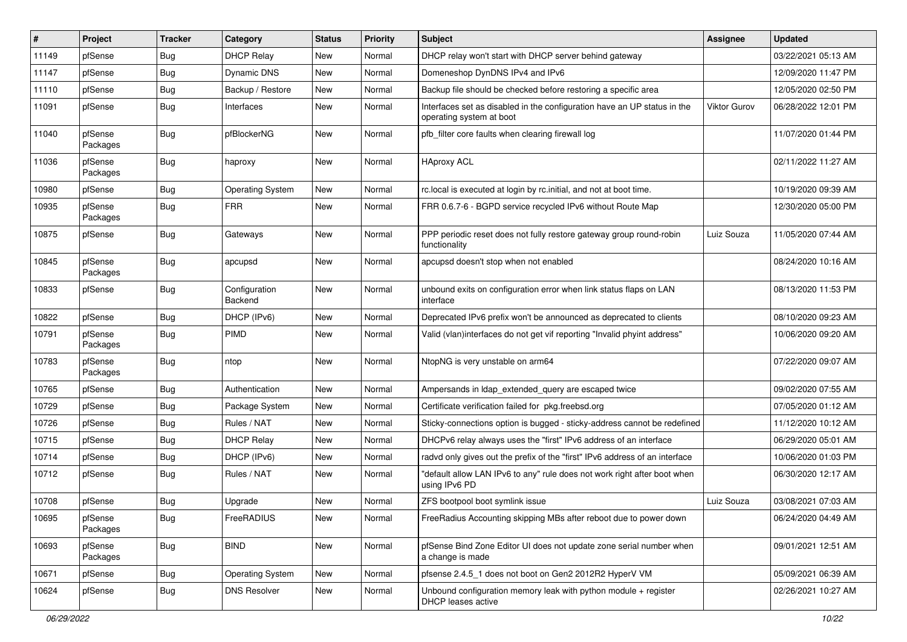| $\pmb{\#}$ | Project             | <b>Tracker</b> | Category                 | <b>Status</b> | <b>Priority</b> | <b>Subject</b>                                                                                       | <b>Assignee</b>     | <b>Updated</b>      |
|------------|---------------------|----------------|--------------------------|---------------|-----------------|------------------------------------------------------------------------------------------------------|---------------------|---------------------|
| 11149      | pfSense             | <b>Bug</b>     | <b>DHCP Relay</b>        | New           | Normal          | DHCP relay won't start with DHCP server behind gateway                                               |                     | 03/22/2021 05:13 AM |
| 11147      | pfSense             | Bug            | Dynamic DNS              | New           | Normal          | Domeneshop DynDNS IPv4 and IPv6                                                                      |                     | 12/09/2020 11:47 PM |
| 11110      | pfSense             | Bug            | Backup / Restore         | New           | Normal          | Backup file should be checked before restoring a specific area                                       |                     | 12/05/2020 02:50 PM |
| 11091      | pfSense             | <b>Bug</b>     | Interfaces               | New           | Normal          | Interfaces set as disabled in the configuration have an UP status in the<br>operating system at boot | <b>Viktor Gurov</b> | 06/28/2022 12:01 PM |
| 11040      | pfSense<br>Packages | Bug            | pfBlockerNG              | New           | Normal          | pfb_filter core faults when clearing firewall log                                                    |                     | 11/07/2020 01:44 PM |
| 11036      | pfSense<br>Packages | Bug            | haproxy                  | New           | Normal          | <b>HAproxy ACL</b>                                                                                   |                     | 02/11/2022 11:27 AM |
| 10980      | pfSense             | Bug            | <b>Operating System</b>  | New           | Normal          | rc.local is executed at login by rc.initial, and not at boot time.                                   |                     | 10/19/2020 09:39 AM |
| 10935      | pfSense<br>Packages | Bug            | <b>FRR</b>               | New           | Normal          | FRR 0.6.7-6 - BGPD service recycled IPv6 without Route Map                                           |                     | 12/30/2020 05:00 PM |
| 10875      | pfSense             | Bug            | Gateways                 | New           | Normal          | PPP periodic reset does not fully restore gateway group round-robin<br>functionality                 | Luiz Souza          | 11/05/2020 07:44 AM |
| 10845      | pfSense<br>Packages | Bug            | apcupsd                  | New           | Normal          | apcupsd doesn't stop when not enabled                                                                |                     | 08/24/2020 10:16 AM |
| 10833      | pfSense             | Bug            | Configuration<br>Backend | New           | Normal          | unbound exits on configuration error when link status flaps on LAN<br>interface                      |                     | 08/13/2020 11:53 PM |
| 10822      | pfSense             | Bug            | DHCP (IPv6)              | New           | Normal          | Deprecated IPv6 prefix won't be announced as deprecated to clients                                   |                     | 08/10/2020 09:23 AM |
| 10791      | pfSense<br>Packages | <b>Bug</b>     | <b>PIMD</b>              | New           | Normal          | Valid (vlan)interfaces do not get vif reporting "Invalid phyint address"                             |                     | 10/06/2020 09:20 AM |
| 10783      | pfSense<br>Packages | Bug            | ntop                     | <b>New</b>    | Normal          | NtopNG is very unstable on arm64                                                                     |                     | 07/22/2020 09:07 AM |
| 10765      | pfSense             | Bug            | Authentication           | New           | Normal          | Ampersands in Idap_extended_query are escaped twice                                                  |                     | 09/02/2020 07:55 AM |
| 10729      | pfSense             | Bug            | Package System           | New           | Normal          | Certificate verification failed for pkg.freebsd.org                                                  |                     | 07/05/2020 01:12 AM |
| 10726      | pfSense             | <b>Bug</b>     | Rules / NAT              | New           | Normal          | Sticky-connections option is bugged - sticky-address cannot be redefined                             |                     | 11/12/2020 10:12 AM |
| 10715      | pfSense             | Bug            | <b>DHCP Relay</b>        | <b>New</b>    | Normal          | DHCPv6 relay always uses the "first" IPv6 address of an interface                                    |                     | 06/29/2020 05:01 AM |
| 10714      | pfSense             | <b>Bug</b>     | DHCP (IPv6)              | New           | Normal          | radvd only gives out the prefix of the "first" IPv6 address of an interface                          |                     | 10/06/2020 01:03 PM |
| 10712      | pfSense             | Bug            | Rules / NAT              | New           | Normal          | "default allow LAN IPv6 to any" rule does not work right after boot when<br>using IPv6 PD            |                     | 06/30/2020 12:17 AM |
| 10708      | pfSense             | Bug            | Upgrade                  | New           | Normal          | ZFS bootpool boot symlink issue                                                                      | Luiz Souza          | 03/08/2021 07:03 AM |
| 10695      | pfSense<br>Packages | Bug            | FreeRADIUS               | New           | Normal          | FreeRadius Accounting skipping MBs after reboot due to power down                                    |                     | 06/24/2020 04:49 AM |
| 10693      | pfSense<br>Packages | <b>Bug</b>     | <b>BIND</b>              | New           | Normal          | pfSense Bind Zone Editor UI does not update zone serial number when<br>a change is made              |                     | 09/01/2021 12:51 AM |
| 10671      | pfSense             | <b>Bug</b>     | <b>Operating System</b>  | New           | Normal          | pfsense 2.4.5_1 does not boot on Gen2 2012R2 HyperV VM                                               |                     | 05/09/2021 06:39 AM |
| 10624      | pfSense             | <b>Bug</b>     | <b>DNS Resolver</b>      | New           | Normal          | Unbound configuration memory leak with python module $+$ register<br>DHCP leases active              |                     | 02/26/2021 10:27 AM |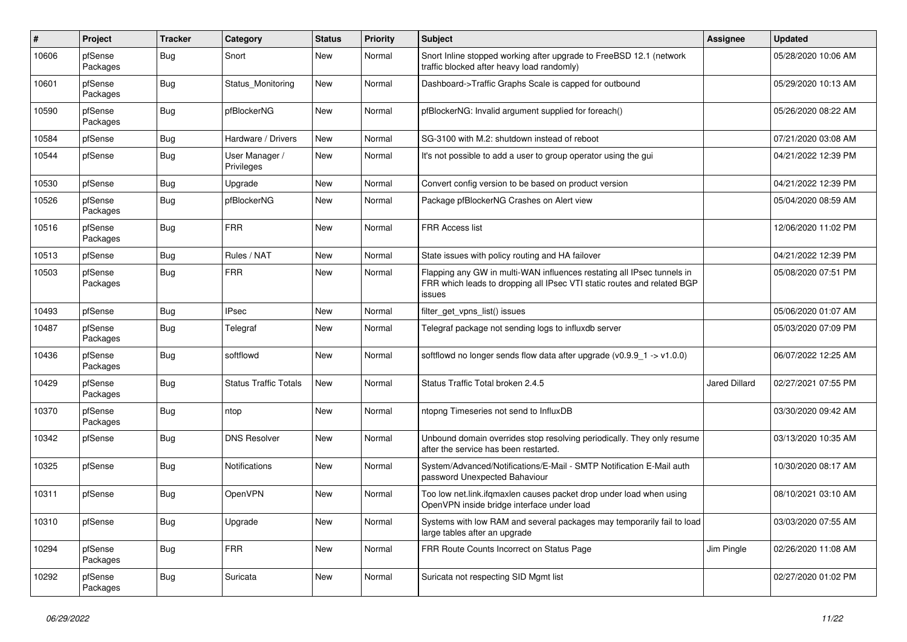| #     | Project             | <b>Tracker</b> | Category                     | <b>Status</b> | <b>Priority</b> | <b>Subject</b>                                                                                                                                              | Assignee             | <b>Updated</b>      |
|-------|---------------------|----------------|------------------------------|---------------|-----------------|-------------------------------------------------------------------------------------------------------------------------------------------------------------|----------------------|---------------------|
| 10606 | pfSense<br>Packages | Bug            | Snort                        | New           | Normal          | Snort Inline stopped working after upgrade to FreeBSD 12.1 (network<br>traffic blocked after heavy load randomly)                                           |                      | 05/28/2020 10:06 AM |
| 10601 | pfSense<br>Packages | <b>Bug</b>     | Status Monitoring            | New           | Normal          | Dashboard->Traffic Graphs Scale is capped for outbound                                                                                                      |                      | 05/29/2020 10:13 AM |
| 10590 | pfSense<br>Packages | Bug            | pfBlockerNG                  | New           | Normal          | pfBlockerNG: Invalid argument supplied for foreach()                                                                                                        |                      | 05/26/2020 08:22 AM |
| 10584 | pfSense             | <b>Bug</b>     | Hardware / Drivers           | New           | Normal          | SG-3100 with M.2: shutdown instead of reboot                                                                                                                |                      | 07/21/2020 03:08 AM |
| 10544 | pfSense             | <b>Bug</b>     | User Manager /<br>Privileges | New           | Normal          | It's not possible to add a user to group operator using the gui                                                                                             |                      | 04/21/2022 12:39 PM |
| 10530 | pfSense             | Bug            | Upgrade                      | New           | Normal          | Convert config version to be based on product version                                                                                                       |                      | 04/21/2022 12:39 PM |
| 10526 | pfSense<br>Packages | <b>Bug</b>     | pfBlockerNG                  | <b>New</b>    | Normal          | Package pfBlockerNG Crashes on Alert view                                                                                                                   |                      | 05/04/2020 08:59 AM |
| 10516 | pfSense<br>Packages | i Bug          | <b>FRR</b>                   | <b>New</b>    | Normal          | <b>FRR Access list</b>                                                                                                                                      |                      | 12/06/2020 11:02 PM |
| 10513 | pfSense             | Bug            | Rules / NAT                  | <b>New</b>    | Normal          | State issues with policy routing and HA failover                                                                                                            |                      | 04/21/2022 12:39 PM |
| 10503 | pfSense<br>Packages | <b>Bug</b>     | <b>FRR</b>                   | New           | Normal          | Flapping any GW in multi-WAN influences restating all IPsec tunnels in<br>FRR which leads to dropping all IPsec VTI static routes and related BGP<br>issues |                      | 05/08/2020 07:51 PM |
| 10493 | pfSense             | Bug            | <b>IPsec</b>                 | <b>New</b>    | Normal          | filter_get_vpns_list() issues                                                                                                                               |                      | 05/06/2020 01:07 AM |
| 10487 | pfSense<br>Packages | <b>Bug</b>     | Telegraf                     | New           | Normal          | Telegraf package not sending logs to influxdb server                                                                                                        |                      | 05/03/2020 07:09 PM |
| 10436 | pfSense<br>Packages | Bug            | softflowd                    | New           | Normal          | softflowd no longer sends flow data after upgrade $(v0.9.9 - 1 \rightarrow v1.0.0)$                                                                         |                      | 06/07/2022 12:25 AM |
| 10429 | pfSense<br>Packages | <b>Bug</b>     | <b>Status Traffic Totals</b> | <b>New</b>    | Normal          | Status Traffic Total broken 2.4.5                                                                                                                           | <b>Jared Dillard</b> | 02/27/2021 07:55 PM |
| 10370 | pfSense<br>Packages | Bug            | ntop                         | <b>New</b>    | Normal          | ntopng Timeseries not send to InfluxDB                                                                                                                      |                      | 03/30/2020 09:42 AM |
| 10342 | pfSense             | Bug            | <b>DNS Resolver</b>          | <b>New</b>    | Normal          | Unbound domain overrides stop resolving periodically. They only resume<br>after the service has been restarted.                                             |                      | 03/13/2020 10:35 AM |
| 10325 | pfSense             | <b>Bug</b>     | <b>Notifications</b>         | <b>New</b>    | Normal          | System/Advanced/Notifications/E-Mail - SMTP Notification E-Mail auth<br>password Unexpected Bahaviour                                                       |                      | 10/30/2020 08:17 AM |
| 10311 | pfSense             | <b>Bug</b>     | OpenVPN                      | New           | Normal          | Too low net.link.ifqmaxlen causes packet drop under load when using<br>OpenVPN inside bridge interface under load                                           |                      | 08/10/2021 03:10 AM |
| 10310 | pfSense             | Bug            | Upgrade                      | New           | Normal          | Systems with low RAM and several packages may temporarily fail to load<br>large tables after an upgrade                                                     |                      | 03/03/2020 07:55 AM |
| 10294 | pfSense<br>Packages | <b>Bug</b>     | <b>FRR</b>                   | New           | Normal          | FRR Route Counts Incorrect on Status Page                                                                                                                   | Jim Pingle           | 02/26/2020 11:08 AM |
| 10292 | pfSense<br>Packages | Bug            | Suricata                     | New           | Normal          | Suricata not respecting SID Mgmt list                                                                                                                       |                      | 02/27/2020 01:02 PM |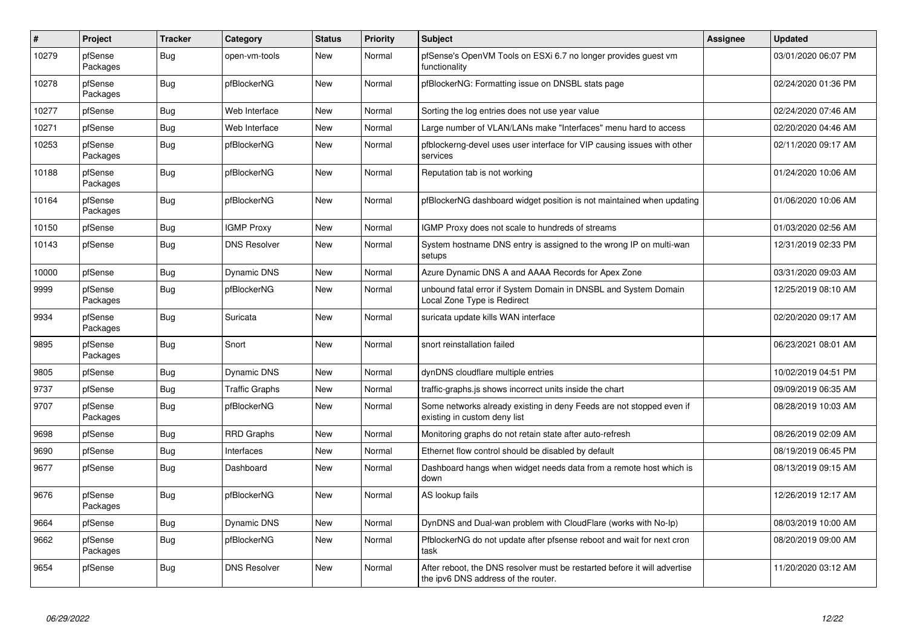| $\vert$ # | Project             | <b>Tracker</b> | Category              | <b>Status</b> | <b>Priority</b> | <b>Subject</b>                                                                                                   | Assignee | <b>Updated</b>      |
|-----------|---------------------|----------------|-----------------------|---------------|-----------------|------------------------------------------------------------------------------------------------------------------|----------|---------------------|
| 10279     | pfSense<br>Packages | <b>Bug</b>     | open-vm-tools         | <b>New</b>    | Normal          | pfSense's OpenVM Tools on ESXi 6.7 no longer provides guest vm<br>functionality                                  |          | 03/01/2020 06:07 PM |
| 10278     | pfSense<br>Packages | <b>Bug</b>     | pfBlockerNG           | <b>New</b>    | Normal          | pfBlockerNG: Formatting issue on DNSBL stats page                                                                |          | 02/24/2020 01:36 PM |
| 10277     | pfSense             | <b>Bug</b>     | Web Interface         | <b>New</b>    | Normal          | Sorting the log entries does not use year value                                                                  |          | 02/24/2020 07:46 AM |
| 10271     | pfSense             | Bug            | Web Interface         | <b>New</b>    | Normal          | Large number of VLAN/LANs make "Interfaces" menu hard to access                                                  |          | 02/20/2020 04:46 AM |
| 10253     | pfSense<br>Packages | <b>Bug</b>     | pfBlockerNG           | <b>New</b>    | Normal          | pfblockerng-devel uses user interface for VIP causing issues with other<br>services                              |          | 02/11/2020 09:17 AM |
| 10188     | pfSense<br>Packages | <b>Bug</b>     | pfBlockerNG           | New           | Normal          | Reputation tab is not working                                                                                    |          | 01/24/2020 10:06 AM |
| 10164     | pfSense<br>Packages | Bug            | pfBlockerNG           | <b>New</b>    | Normal          | pfBlockerNG dashboard widget position is not maintained when updating                                            |          | 01/06/2020 10:06 AM |
| 10150     | pfSense             | Bug            | <b>IGMP Proxy</b>     | New           | Normal          | IGMP Proxy does not scale to hundreds of streams                                                                 |          | 01/03/2020 02:56 AM |
| 10143     | pfSense             | Bug            | <b>DNS Resolver</b>   | New           | Normal          | System hostname DNS entry is assigned to the wrong IP on multi-wan<br>setups                                     |          | 12/31/2019 02:33 PM |
| 10000     | pfSense             | Bug            | <b>Dynamic DNS</b>    | <b>New</b>    | Normal          | Azure Dynamic DNS A and AAAA Records for Apex Zone                                                               |          | 03/31/2020 09:03 AM |
| 9999      | pfSense<br>Packages | <b>Bug</b>     | pfBlockerNG           | <b>New</b>    | Normal          | unbound fatal error if System Domain in DNSBL and System Domain<br>Local Zone Type is Redirect                   |          | 12/25/2019 08:10 AM |
| 9934      | pfSense<br>Packages | Bug            | Suricata              | <b>New</b>    | Normal          | suricata update kills WAN interface                                                                              |          | 02/20/2020 09:17 AM |
| 9895      | pfSense<br>Packages | Bug            | Snort                 | <b>New</b>    | Normal          | snort reinstallation failed                                                                                      |          | 06/23/2021 08:01 AM |
| 9805      | pfSense             | Bug            | <b>Dynamic DNS</b>    | <b>New</b>    | Normal          | dynDNS cloudflare multiple entries                                                                               |          | 10/02/2019 04:51 PM |
| 9737      | pfSense             | Bug            | <b>Traffic Graphs</b> | <b>New</b>    | Normal          | traffic-graphs.js shows incorrect units inside the chart                                                         |          | 09/09/2019 06:35 AM |
| 9707      | pfSense<br>Packages | Bug            | pfBlockerNG           | <b>New</b>    | Normal          | Some networks already existing in deny Feeds are not stopped even if<br>existing in custom deny list             |          | 08/28/2019 10:03 AM |
| 9698      | pfSense             | Bug            | <b>RRD Graphs</b>     | <b>New</b>    | Normal          | Monitoring graphs do not retain state after auto-refresh                                                         |          | 08/26/2019 02:09 AM |
| 9690      | pfSense             | Bug            | Interfaces            | <b>New</b>    | Normal          | Ethernet flow control should be disabled by default                                                              |          | 08/19/2019 06:45 PM |
| 9677      | pfSense             | <b>Bug</b>     | Dashboard             | <b>New</b>    | Normal          | Dashboard hangs when widget needs data from a remote host which is<br>down                                       |          | 08/13/2019 09:15 AM |
| 9676      | pfSense<br>Packages | Bug            | pfBlockerNG           | <b>New</b>    | Normal          | AS lookup fails                                                                                                  |          | 12/26/2019 12:17 AM |
| 9664      | pfSense             | <b>Bug</b>     | <b>Dynamic DNS</b>    | <b>New</b>    | Normal          | DynDNS and Dual-wan problem with CloudFlare (works with No-Ip)                                                   |          | 08/03/2019 10:00 AM |
| 9662      | pfSense<br>Packages | Bug            | pfBlockerNG           | <b>New</b>    | Normal          | PfblockerNG do not update after pfsense reboot and wait for next cron<br>task                                    |          | 08/20/2019 09:00 AM |
| 9654      | pfSense             | Bug            | <b>DNS Resolver</b>   | <b>New</b>    | Normal          | After reboot, the DNS resolver must be restarted before it will advertise<br>the ipv6 DNS address of the router. |          | 11/20/2020 03:12 AM |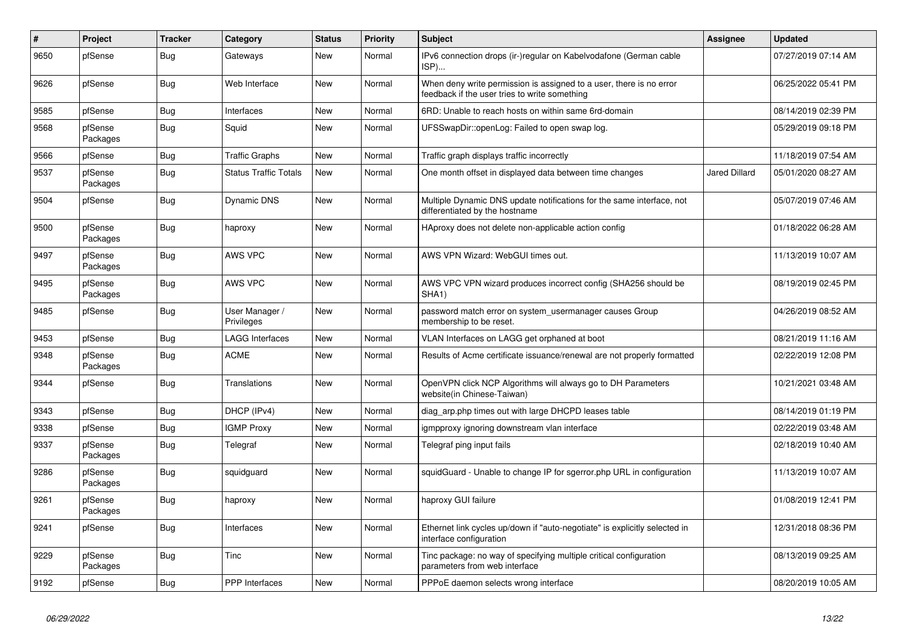| $\vert$ # | Project             | <b>Tracker</b> | Category                     | <b>Status</b> | <b>Priority</b> | <b>Subject</b>                                                                                                       | <b>Assignee</b>      | <b>Updated</b>      |
|-----------|---------------------|----------------|------------------------------|---------------|-----------------|----------------------------------------------------------------------------------------------------------------------|----------------------|---------------------|
| 9650      | pfSense             | Bug            | Gateways                     | <b>New</b>    | Normal          | IPv6 connection drops (ir-)regular on Kabelvodafone (German cable<br>ISP)                                            |                      | 07/27/2019 07:14 AM |
| 9626      | pfSense             | Bug            | Web Interface                | <b>New</b>    | Normal          | When deny write permission is assigned to a user, there is no error<br>feedback if the user tries to write something |                      | 06/25/2022 05:41 PM |
| 9585      | pfSense             | <b>Bug</b>     | Interfaces                   | <b>New</b>    | Normal          | 6RD: Unable to reach hosts on within same 6rd-domain                                                                 |                      | 08/14/2019 02:39 PM |
| 9568      | pfSense<br>Packages | <b>Bug</b>     | Squid                        | <b>New</b>    | Normal          | UFSSwapDir::openLog: Failed to open swap log.                                                                        |                      | 05/29/2019 09:18 PM |
| 9566      | pfSense             | <b>Bug</b>     | <b>Traffic Graphs</b>        | <b>New</b>    | Normal          | Traffic graph displays traffic incorrectly                                                                           |                      | 11/18/2019 07:54 AM |
| 9537      | pfSense<br>Packages | Bug            | <b>Status Traffic Totals</b> | New           | Normal          | One month offset in displayed data between time changes                                                              | <b>Jared Dillard</b> | 05/01/2020 08:27 AM |
| 9504      | pfSense             | <b>Bug</b>     | <b>Dynamic DNS</b>           | <b>New</b>    | Normal          | Multiple Dynamic DNS update notifications for the same interface, not<br>differentiated by the hostname              |                      | 05/07/2019 07:46 AM |
| 9500      | pfSense<br>Packages | Bug            | haproxy                      | <b>New</b>    | Normal          | HAproxy does not delete non-applicable action config                                                                 |                      | 01/18/2022 06:28 AM |
| 9497      | pfSense<br>Packages | <b>Bug</b>     | AWS VPC                      | New           | Normal          | AWS VPN Wizard: WebGUI times out.                                                                                    |                      | 11/13/2019 10:07 AM |
| 9495      | pfSense<br>Packages | Bug            | AWS VPC                      | New           | Normal          | AWS VPC VPN wizard produces incorrect config (SHA256 should be<br>SHA1)                                              |                      | 08/19/2019 02:45 PM |
| 9485      | pfSense             | <b>Bug</b>     | User Manager /<br>Privileges | New           | Normal          | password match error on system usermanager causes Group<br>membership to be reset.                                   |                      | 04/26/2019 08:52 AM |
| 9453      | pfSense             | <b>Bug</b>     | <b>LAGG Interfaces</b>       | <b>New</b>    | Normal          | VLAN Interfaces on LAGG get orphaned at boot                                                                         |                      | 08/21/2019 11:16 AM |
| 9348      | pfSense<br>Packages | <b>Bug</b>     | <b>ACME</b>                  | <b>New</b>    | Normal          | Results of Acme certificate issuance/renewal are not properly formatted                                              |                      | 02/22/2019 12:08 PM |
| 9344      | pfSense             | Bug            | Translations                 | <b>New</b>    | Normal          | OpenVPN click NCP Algorithms will always go to DH Parameters<br>website(in Chinese-Taiwan)                           |                      | 10/21/2021 03:48 AM |
| 9343      | pfSense             | <b>Bug</b>     | DHCP (IPv4)                  | <b>New</b>    | Normal          | diag_arp.php times out with large DHCPD leases table                                                                 |                      | 08/14/2019 01:19 PM |
| 9338      | pfSense             | <b>Bug</b>     | <b>IGMP Proxy</b>            | <b>New</b>    | Normal          | igmpproxy ignoring downstream vlan interface                                                                         |                      | 02/22/2019 03:48 AM |
| 9337      | pfSense<br>Packages | <b>Bug</b>     | Telegraf                     | <b>New</b>    | Normal          | Telegraf ping input fails                                                                                            |                      | 02/18/2019 10:40 AM |
| 9286      | pfSense<br>Packages | Bug            | squidguard                   | <b>New</b>    | Normal          | squidGuard - Unable to change IP for sgerror.php URL in configuration                                                |                      | 11/13/2019 10:07 AM |
| 9261      | pfSense<br>Packages | <b>Bug</b>     | haproxy                      | <b>New</b>    | Normal          | haproxy GUI failure                                                                                                  |                      | 01/08/2019 12:41 PM |
| 9241      | pfSense             | Bug            | Interfaces                   | <b>New</b>    | Normal          | Ethernet link cycles up/down if "auto-negotiate" is explicitly selected in<br>interface configuration                |                      | 12/31/2018 08:36 PM |
| 9229      | pfSense<br>Packages | Bug            | Tinc                         | <b>New</b>    | Normal          | Tinc package: no way of specifying multiple critical configuration<br>parameters from web interface                  |                      | 08/13/2019 09:25 AM |
| 9192      | pfSense             | Bug            | <b>PPP</b> Interfaces        | <b>New</b>    | Normal          | PPPoE daemon selects wrong interface                                                                                 |                      | 08/20/2019 10:05 AM |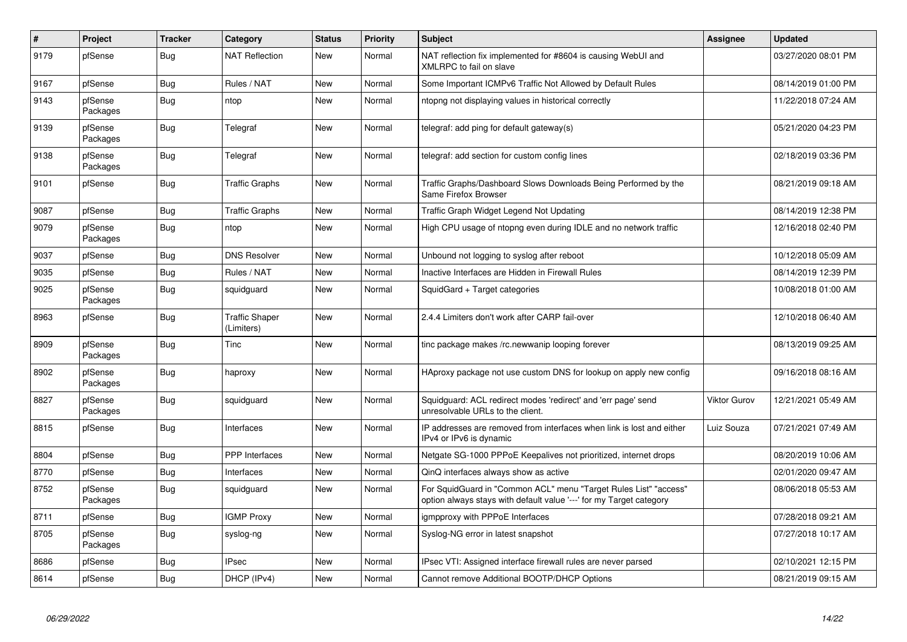| $\sharp$ | Project             | <b>Tracker</b> | Category                            | <b>Status</b> | Priority | <b>Subject</b>                                                                                                                          | <b>Assignee</b>     | <b>Updated</b>      |
|----------|---------------------|----------------|-------------------------------------|---------------|----------|-----------------------------------------------------------------------------------------------------------------------------------------|---------------------|---------------------|
| 9179     | pfSense             | Bug            | <b>NAT Reflection</b>               | <b>New</b>    | Normal   | NAT reflection fix implemented for #8604 is causing WebUI and<br>XMLRPC to fail on slave                                                |                     | 03/27/2020 08:01 PM |
| 9167     | pfSense             | Bug            | Rules / NAT                         | New           | Normal   | Some Important ICMPv6 Traffic Not Allowed by Default Rules                                                                              |                     | 08/14/2019 01:00 PM |
| 9143     | pfSense<br>Packages | <b>Bug</b>     | ntop                                | <b>New</b>    | Normal   | ntopng not displaying values in historical correctly                                                                                    |                     | 11/22/2018 07:24 AM |
| 9139     | pfSense<br>Packages | <b>Bug</b>     | Telegraf                            | <b>New</b>    | Normal   | telegraf: add ping for default gateway(s)                                                                                               |                     | 05/21/2020 04:23 PM |
| 9138     | pfSense<br>Packages | <b>Bug</b>     | Telegraf                            | New           | Normal   | telegraf: add section for custom config lines                                                                                           |                     | 02/18/2019 03:36 PM |
| 9101     | pfSense             | <b>Bug</b>     | <b>Traffic Graphs</b>               | New           | Normal   | Traffic Graphs/Dashboard Slows Downloads Being Performed by the<br>Same Firefox Browser                                                 |                     | 08/21/2019 09:18 AM |
| 9087     | pfSense             | <b>Bug</b>     | <b>Traffic Graphs</b>               | New           | Normal   | Traffic Graph Widget Legend Not Updating                                                                                                |                     | 08/14/2019 12:38 PM |
| 9079     | pfSense<br>Packages | Bug            | ntop                                | New           | Normal   | High CPU usage of ntopng even during IDLE and no network traffic                                                                        |                     | 12/16/2018 02:40 PM |
| 9037     | pfSense             | <b>Bug</b>     | <b>DNS Resolver</b>                 | <b>New</b>    | Normal   | Unbound not logging to syslog after reboot                                                                                              |                     | 10/12/2018 05:09 AM |
| 9035     | pfSense             | <b>Bug</b>     | Rules / NAT                         | <b>New</b>    | Normal   | Inactive Interfaces are Hidden in Firewall Rules                                                                                        |                     | 08/14/2019 12:39 PM |
| 9025     | pfSense<br>Packages | Bug            | squidguard                          | <b>New</b>    | Normal   | SquidGard + Target categories                                                                                                           |                     | 10/08/2018 01:00 AM |
| 8963     | pfSense             | <b>Bug</b>     | <b>Traffic Shaper</b><br>(Limiters) | <b>New</b>    | Normal   | 2.4.4 Limiters don't work after CARP fail-over                                                                                          |                     | 12/10/2018 06:40 AM |
| 8909     | pfSense<br>Packages | <b>Bug</b>     | Tinc                                | <b>New</b>    | Normal   | tinc package makes /rc.newwanip looping forever                                                                                         |                     | 08/13/2019 09:25 AM |
| 8902     | pfSense<br>Packages | <b>Bug</b>     | haproxy                             | <b>New</b>    | Normal   | HAproxy package not use custom DNS for lookup on apply new config                                                                       |                     | 09/16/2018 08:16 AM |
| 8827     | pfSense<br>Packages | Bug            | squidguard                          | <b>New</b>    | Normal   | Squidguard: ACL redirect modes 'redirect' and 'err page' send<br>unresolvable URLs to the client.                                       | <b>Viktor Gurov</b> | 12/21/2021 05:49 AM |
| 8815     | pfSense             | <b>Bug</b>     | Interfaces                          | <b>New</b>    | Normal   | IP addresses are removed from interfaces when link is lost and either<br>IPv4 or IPv6 is dynamic                                        | Luiz Souza          | 07/21/2021 07:49 AM |
| 8804     | pfSense             | Bug            | <b>PPP</b> Interfaces               | <b>New</b>    | Normal   | Netgate SG-1000 PPPoE Keepalives not prioritized, internet drops                                                                        |                     | 08/20/2019 10:06 AM |
| 8770     | pfSense             | <b>Bug</b>     | Interfaces                          | <b>New</b>    | Normal   | QinQ interfaces always show as active                                                                                                   |                     | 02/01/2020 09:47 AM |
| 8752     | pfSense<br>Packages | <b>Bug</b>     | squidguard                          | <b>New</b>    | Normal   | For SquidGuard in "Common ACL" menu "Target Rules List" "access"<br>option always stays with default value '---' for my Target category |                     | 08/06/2018 05:53 AM |
| 8711     | pfSense             | Bug            | <b>IGMP Proxy</b>                   | New           | Normal   | igmpproxy with PPPoE Interfaces                                                                                                         |                     | 07/28/2018 09:21 AM |
| 8705     | pfSense<br>Packages | Bug            | syslog-ng                           | New           | Normal   | Syslog-NG error in latest snapshot                                                                                                      |                     | 07/27/2018 10:17 AM |
| 8686     | pfSense             | <b>Bug</b>     | <b>IPsec</b>                        | <b>New</b>    | Normal   | IPsec VTI: Assigned interface firewall rules are never parsed                                                                           |                     | 02/10/2021 12:15 PM |
| 8614     | pfSense             | Bug            | DHCP (IPv4)                         | New           | Normal   | Cannot remove Additional BOOTP/DHCP Options                                                                                             |                     | 08/21/2019 09:15 AM |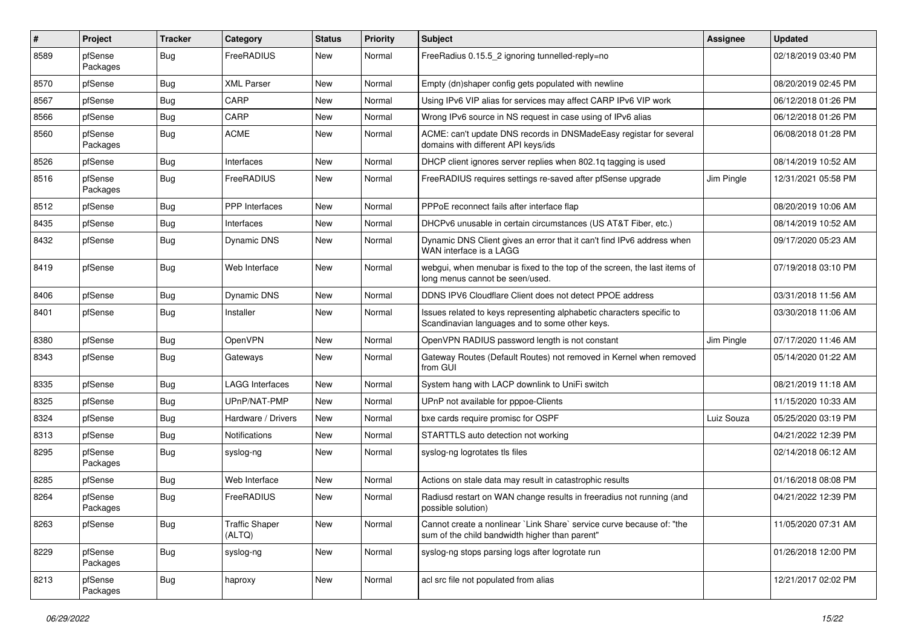| #    | Project             | <b>Tracker</b> | Category                        | <b>Status</b> | <b>Priority</b> | <b>Subject</b>                                                                                                          | <b>Assignee</b> | <b>Updated</b>      |
|------|---------------------|----------------|---------------------------------|---------------|-----------------|-------------------------------------------------------------------------------------------------------------------------|-----------------|---------------------|
| 8589 | pfSense<br>Packages | Bug            | FreeRADIUS                      | <b>New</b>    | Normal          | FreeRadius 0.15.5_2 ignoring tunnelled-reply=no                                                                         |                 | 02/18/2019 03:40 PM |
| 8570 | pfSense             | Bug            | <b>XML Parser</b>               | <b>New</b>    | Normal          | Empty (dn)shaper config gets populated with newline                                                                     |                 | 08/20/2019 02:45 PM |
| 8567 | pfSense             | Bug            | CARP                            | New           | Normal          | Using IPv6 VIP alias for services may affect CARP IPv6 VIP work                                                         |                 | 06/12/2018 01:26 PM |
| 8566 | pfSense             | Bug            | CARP                            | <b>New</b>    | Normal          | Wrong IPv6 source in NS request in case using of IPv6 alias                                                             |                 | 06/12/2018 01:26 PM |
| 8560 | pfSense<br>Packages | Bug            | <b>ACME</b>                     | <b>New</b>    | Normal          | ACME: can't update DNS records in DNSMadeEasy registar for several<br>domains with different API keys/ids               |                 | 06/08/2018 01:28 PM |
| 8526 | pfSense             | Bug            | Interfaces                      | <b>New</b>    | Normal          | DHCP client ignores server replies when 802.1q tagging is used                                                          |                 | 08/14/2019 10:52 AM |
| 8516 | pfSense<br>Packages | Bug            | FreeRADIUS                      | <b>New</b>    | Normal          | FreeRADIUS requires settings re-saved after pfSense upgrade                                                             | Jim Pingle      | 12/31/2021 05:58 PM |
| 8512 | pfSense             | Bug            | <b>PPP</b> Interfaces           | <b>New</b>    | Normal          | PPPoE reconnect fails after interface flap                                                                              |                 | 08/20/2019 10:06 AM |
| 8435 | pfSense             | <b>Bug</b>     | Interfaces                      | <b>New</b>    | Normal          | DHCPv6 unusable in certain circumstances (US AT&T Fiber, etc.)                                                          |                 | 08/14/2019 10:52 AM |
| 8432 | pfSense             | Bug            | Dynamic DNS                     | <b>New</b>    | Normal          | Dynamic DNS Client gives an error that it can't find IPv6 address when<br>WAN interface is a LAGG                       |                 | 09/17/2020 05:23 AM |
| 8419 | pfSense             | Bug            | Web Interface                   | <b>New</b>    | Normal          | webgui, when menubar is fixed to the top of the screen, the last items of<br>long menus cannot be seen/used.            |                 | 07/19/2018 03:10 PM |
| 8406 | pfSense             | Bug            | Dynamic DNS                     | <b>New</b>    | Normal          | DDNS IPV6 Cloudflare Client does not detect PPOE address                                                                |                 | 03/31/2018 11:56 AM |
| 8401 | pfSense             | Bug            | Installer                       | <b>New</b>    | Normal          | Issues related to keys representing alphabetic characters specific to<br>Scandinavian languages and to some other keys. |                 | 03/30/2018 11:06 AM |
| 8380 | pfSense             | Bug            | OpenVPN                         | <b>New</b>    | Normal          | OpenVPN RADIUS password length is not constant                                                                          | Jim Pingle      | 07/17/2020 11:46 AM |
| 8343 | pfSense             | Bug            | Gateways                        | <b>New</b>    | Normal          | Gateway Routes (Default Routes) not removed in Kernel when removed<br>from GUI                                          |                 | 05/14/2020 01:22 AM |
| 8335 | pfSense             | Bug            | <b>LAGG Interfaces</b>          | <b>New</b>    | Normal          | System hang with LACP downlink to UniFi switch                                                                          |                 | 08/21/2019 11:18 AM |
| 8325 | pfSense             | Bug            | UPnP/NAT-PMP                    | <b>New</b>    | Normal          | UPnP not available for pppoe-Clients                                                                                    |                 | 11/15/2020 10:33 AM |
| 8324 | pfSense             | Bug            | Hardware / Drivers              | New           | Normal          | bxe cards require promisc for OSPF                                                                                      | Luiz Souza      | 05/25/2020 03:19 PM |
| 8313 | pfSense             | Bug            | <b>Notifications</b>            | <b>New</b>    | Normal          | STARTTLS auto detection not working                                                                                     |                 | 04/21/2022 12:39 PM |
| 8295 | pfSense<br>Packages | Bug            | syslog-ng                       | New           | Normal          | syslog-ng logrotates tls files                                                                                          |                 | 02/14/2018 06:12 AM |
| 8285 | pfSense             | Bug            | Web Interface                   | <b>New</b>    | Normal          | Actions on stale data may result in catastrophic results                                                                |                 | 01/16/2018 08:08 PM |
| 8264 | pfSense<br>Packages | Bug            | FreeRADIUS                      | <b>New</b>    | Normal          | Radiusd restart on WAN change results in freeradius not running (and<br>possible solution)                              |                 | 04/21/2022 12:39 PM |
| 8263 | pfSense             | Bug            | <b>Traffic Shaper</b><br>(ALTQ) | New           | Normal          | Cannot create a nonlinear `Link Share` service curve because of: "the<br>sum of the child bandwidth higher than parent" |                 | 11/05/2020 07:31 AM |
| 8229 | pfSense<br>Packages | <b>Bug</b>     | syslog-ng                       | New           | Normal          | syslog-ng stops parsing logs after logrotate run                                                                        |                 | 01/26/2018 12:00 PM |
| 8213 | pfSense<br>Packages | <b>Bug</b>     | haproxy                         | New           | Normal          | acl src file not populated from alias                                                                                   |                 | 12/21/2017 02:02 PM |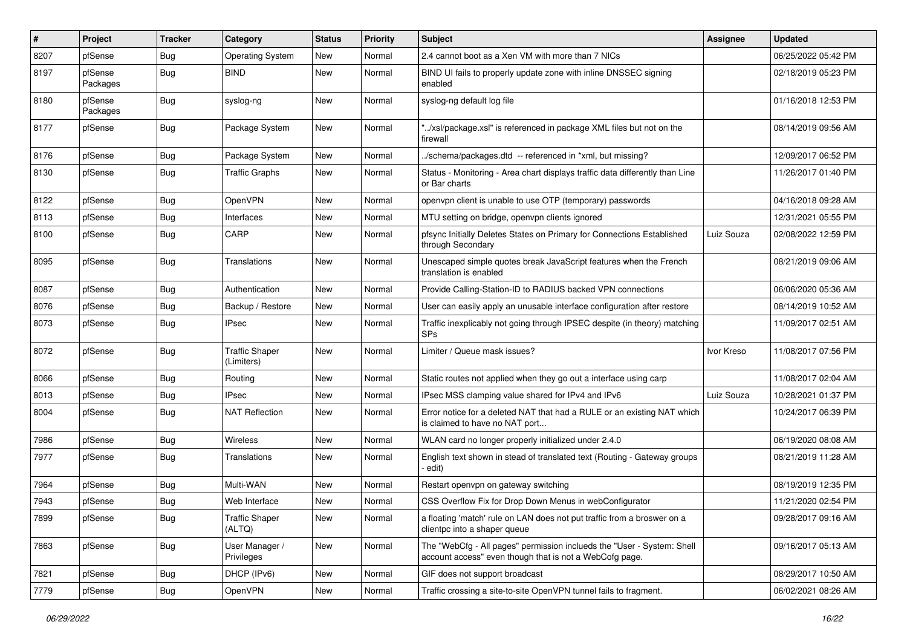| $\vert$ # | Project             | <b>Tracker</b> | Category                            | <b>Status</b> | <b>Priority</b> | <b>Subject</b>                                                                                                                    | Assignee   | <b>Updated</b>      |
|-----------|---------------------|----------------|-------------------------------------|---------------|-----------------|-----------------------------------------------------------------------------------------------------------------------------------|------------|---------------------|
| 8207      | pfSense             | <b>Bug</b>     | <b>Operating System</b>             | New           | Normal          | 2.4 cannot boot as a Xen VM with more than 7 NICs                                                                                 |            | 06/25/2022 05:42 PM |
| 8197      | pfSense<br>Packages | Bug            | <b>BIND</b>                         | New           | Normal          | BIND UI fails to properly update zone with inline DNSSEC signing<br>enabled                                                       |            | 02/18/2019 05:23 PM |
| 8180      | pfSense<br>Packages | Bug            | syslog-ng                           | New           | Normal          | syslog-ng default log file                                                                                                        |            | 01/16/2018 12:53 PM |
| 8177      | pfSense             | Bug            | Package System                      | New           | Normal          | "/xsl/package.xsl" is referenced in package XML files but not on the<br>firewall                                                  |            | 08/14/2019 09:56 AM |
| 8176      | pfSense             | <b>Bug</b>     | Package System                      | New           | Normal          | /schema/packages.dtd -- referenced in *xml, but missing?                                                                          |            | 12/09/2017 06:52 PM |
| 8130      | pfSense             | <b>Bug</b>     | <b>Traffic Graphs</b>               | New           | Normal          | Status - Monitoring - Area chart displays traffic data differently than Line<br>or Bar charts                                     |            | 11/26/2017 01:40 PM |
| 8122      | pfSense             | Bug            | <b>OpenVPN</b>                      | New           | Normal          | openvpn client is unable to use OTP (temporary) passwords                                                                         |            | 04/16/2018 09:28 AM |
| 8113      | pfSense             | <b>Bug</b>     | Interfaces                          | New           | Normal          | MTU setting on bridge, openvpn clients ignored                                                                                    |            | 12/31/2021 05:55 PM |
| 8100      | pfSense             | Bug            | CARP                                | New           | Normal          | pfsync Initially Deletes States on Primary for Connections Established<br>through Secondary                                       | Luiz Souza | 02/08/2022 12:59 PM |
| 8095      | pfSense             | Bug            | Translations                        | New           | Normal          | Unescaped simple quotes break JavaScript features when the French<br>translation is enabled                                       |            | 08/21/2019 09:06 AM |
| 8087      | pfSense             | Bug            | Authentication                      | New           | Normal          | Provide Calling-Station-ID to RADIUS backed VPN connections                                                                       |            | 06/06/2020 05:36 AM |
| 8076      | pfSense             | Bug            | Backup / Restore                    | <b>New</b>    | Normal          | User can easily apply an unusable interface configuration after restore                                                           |            | 08/14/2019 10:52 AM |
| 8073      | pfSense             | Bug            | <b>IPsec</b>                        | New           | Normal          | Traffic inexplicably not going through IPSEC despite (in theory) matching<br><b>SPs</b>                                           |            | 11/09/2017 02:51 AM |
| 8072      | pfSense             | <b>Bug</b>     | <b>Traffic Shaper</b><br>(Limiters) | New           | Normal          | Limiter / Queue mask issues?                                                                                                      | Ivor Kreso | 11/08/2017 07:56 PM |
| 8066      | pfSense             | <b>Bug</b>     | Routing                             | New           | Normal          | Static routes not applied when they go out a interface using carp                                                                 |            | 11/08/2017 02:04 AM |
| 8013      | pfSense             | <b>Bug</b>     | <b>IPsec</b>                        | New           | Normal          | IPsec MSS clamping value shared for IPv4 and IPv6                                                                                 | Luiz Souza | 10/28/2021 01:37 PM |
| 8004      | pfSense             | Bug            | <b>NAT Reflection</b>               | New           | Normal          | Error notice for a deleted NAT that had a RULE or an existing NAT which<br>is claimed to have no NAT port                         |            | 10/24/2017 06:39 PM |
| 7986      | pfSense             | <b>Bug</b>     | Wireless                            | <b>New</b>    | Normal          | WLAN card no longer properly initialized under 2.4.0                                                                              |            | 06/19/2020 08:08 AM |
| 7977      | pfSense             | <b>Bug</b>     | Translations                        | New           | Normal          | English text shown in stead of translated text (Routing - Gateway groups<br>edit)                                                 |            | 08/21/2019 11:28 AM |
| 7964      | pfSense             | Bug            | Multi-WAN                           | New           | Normal          | Restart openvpn on gateway switching                                                                                              |            | 08/19/2019 12:35 PM |
| 7943      | pfSense             | <b>Bug</b>     | Web Interface                       | New           | Normal          | CSS Overflow Fix for Drop Down Menus in webConfigurator                                                                           |            | 11/21/2020 02:54 PM |
| 7899      | pfSense             | Bug            | <b>Traffic Shaper</b><br>(ALTQ)     | New           | Normal          | a floating 'match' rule on LAN does not put traffic from a broswer on a<br>clientpc into a shaper queue                           |            | 09/28/2017 09:16 AM |
| 7863      | pfSense             | Bug            | User Manager /<br>Privileges        | New           | Normal          | The "WebCfg - All pages" permission inclueds the "User - System: Shell<br>account access" even though that is not a WebCofg page. |            | 09/16/2017 05:13 AM |
| 7821      | pfSense             | <b>Bug</b>     | DHCP (IPv6)                         | New           | Normal          | GIF does not support broadcast                                                                                                    |            | 08/29/2017 10:50 AM |
| 7779      | pfSense             | Bug            | OpenVPN                             | New           | Normal          | Traffic crossing a site-to-site OpenVPN tunnel fails to fragment.                                                                 |            | 06/02/2021 08:26 AM |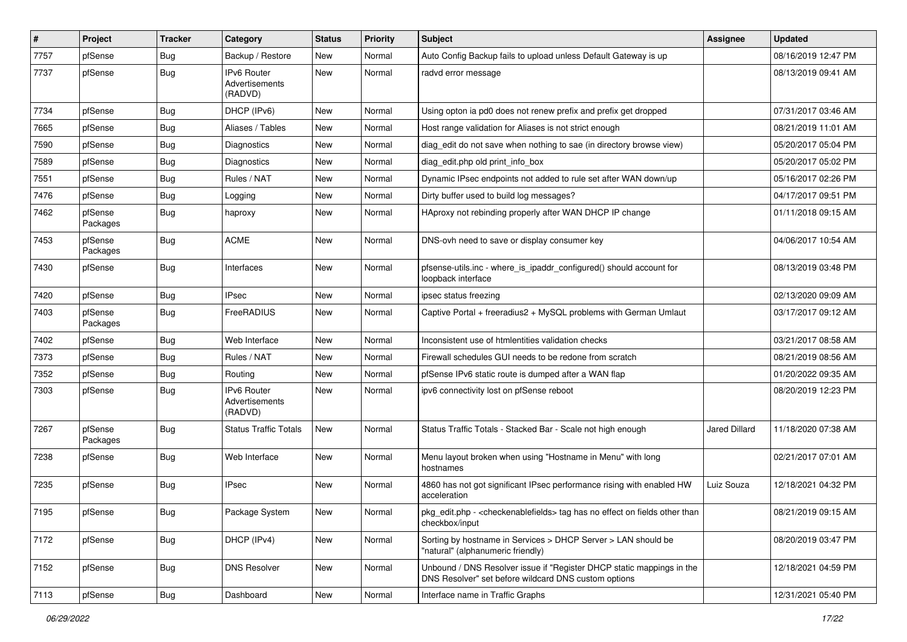| #    | Project             | <b>Tracker</b> | Category                                        | <b>Status</b> | <b>Priority</b> | Subject                                                                                                                       | <b>Assignee</b>      | <b>Updated</b>      |
|------|---------------------|----------------|-------------------------------------------------|---------------|-----------------|-------------------------------------------------------------------------------------------------------------------------------|----------------------|---------------------|
| 7757 | pfSense             | <b>Bug</b>     | Backup / Restore                                | New           | Normal          | Auto Config Backup fails to upload unless Default Gateway is up                                                               |                      | 08/16/2019 12:47 PM |
| 7737 | pfSense             | Bug            | IPv6 Router<br>Advertisements<br>(RADVD)        | New           | Normal          | radvd error message                                                                                                           |                      | 08/13/2019 09:41 AM |
| 7734 | pfSense             | Bug            | DHCP (IPv6)                                     | <b>New</b>    | Normal          | Using opton ia pd0 does not renew prefix and prefix get dropped                                                               |                      | 07/31/2017 03:46 AM |
| 7665 | pfSense             | <b>Bug</b>     | Aliases / Tables                                | New           | Normal          | Host range validation for Aliases is not strict enough                                                                        |                      | 08/21/2019 11:01 AM |
| 7590 | pfSense             | <b>Bug</b>     | Diagnostics                                     | New           | Normal          | diag edit do not save when nothing to sae (in directory browse view)                                                          |                      | 05/20/2017 05:04 PM |
| 7589 | pfSense             | Bug            | Diagnostics                                     | New           | Normal          | diag_edit.php old print_info_box                                                                                              |                      | 05/20/2017 05:02 PM |
| 7551 | pfSense             | <b>Bug</b>     | Rules / NAT                                     | New           | Normal          | Dynamic IPsec endpoints not added to rule set after WAN down/up                                                               |                      | 05/16/2017 02:26 PM |
| 7476 | pfSense             | <b>Bug</b>     | Logging                                         | New           | Normal          | Dirty buffer used to build log messages?                                                                                      |                      | 04/17/2017 09:51 PM |
| 7462 | pfSense<br>Packages | Bug            | haproxy                                         | New           | Normal          | HAproxy not rebinding properly after WAN DHCP IP change                                                                       |                      | 01/11/2018 09:15 AM |
| 7453 | pfSense<br>Packages | <b>Bug</b>     | <b>ACME</b>                                     | New           | Normal          | DNS-ovh need to save or display consumer key                                                                                  |                      | 04/06/2017 10:54 AM |
| 7430 | pfSense             | Bug            | Interfaces                                      | New           | Normal          | pfsense-utils.inc - where is ipaddr configured() should account for<br>loopback interface                                     |                      | 08/13/2019 03:48 PM |
| 7420 | pfSense             | Bug            | <b>IPsec</b>                                    | New           | Normal          | ipsec status freezing                                                                                                         |                      | 02/13/2020 09:09 AM |
| 7403 | pfSense<br>Packages | Bug            | FreeRADIUS                                      | New           | Normal          | Captive Portal + freeradius2 + MySQL problems with German Umlaut                                                              |                      | 03/17/2017 09:12 AM |
| 7402 | pfSense             | Bug            | Web Interface                                   | New           | Normal          | Inconsistent use of htmlentities validation checks                                                                            |                      | 03/21/2017 08:58 AM |
| 7373 | pfSense             | <b>Bug</b>     | Rules / NAT                                     | New           | Normal          | Firewall schedules GUI needs to be redone from scratch                                                                        |                      | 08/21/2019 08:56 AM |
| 7352 | pfSense             | <b>Bug</b>     | Routing                                         | New           | Normal          | pfSense IPv6 static route is dumped after a WAN flap                                                                          |                      | 01/20/2022 09:35 AM |
| 7303 | pfSense             | <b>Bug</b>     | <b>IPv6 Router</b><br>Advertisements<br>(RADVD) | <b>New</b>    | Normal          | ipv6 connectivity lost on pfSense reboot                                                                                      |                      | 08/20/2019 12:23 PM |
| 7267 | pfSense<br>Packages | Bug            | <b>Status Traffic Totals</b>                    | New           | Normal          | Status Traffic Totals - Stacked Bar - Scale not high enough                                                                   | <b>Jared Dillard</b> | 11/18/2020 07:38 AM |
| 7238 | pfSense             | Bug            | Web Interface                                   | New           | Normal          | Menu layout broken when using "Hostname in Menu" with long<br>hostnames                                                       |                      | 02/21/2017 07:01 AM |
| 7235 | pfSense             | Bug            | <b>IPsec</b>                                    | New           | Normal          | 4860 has not got significant IPsec performance rising with enabled HW<br>acceleration                                         | Luiz Souza           | 12/18/2021 04:32 PM |
| 7195 | pfSense             | <b>Bug</b>     | Package System                                  | New           | Normal          | pkg_edit.php - <checkenablefields> tag has no effect on fields other than<br/>checkbox/input</checkenablefields>              |                      | 08/21/2019 09:15 AM |
| 7172 | pfSense             | Bug            | DHCP (IPv4)                                     | New           | Normal          | Sorting by hostname in Services > DHCP Server > LAN should be<br>"natural" (alphanumeric friendly)                            |                      | 08/20/2019 03:47 PM |
| 7152 | pfSense             | <b>Bug</b>     | <b>DNS Resolver</b>                             | New           | Normal          | Unbound / DNS Resolver issue if "Register DHCP static mappings in the<br>DNS Resolver" set before wildcard DNS custom options |                      | 12/18/2021 04:59 PM |
| 7113 | pfSense             | <b>Bug</b>     | Dashboard                                       | New           | Normal          | Interface name in Traffic Graphs                                                                                              |                      | 12/31/2021 05:40 PM |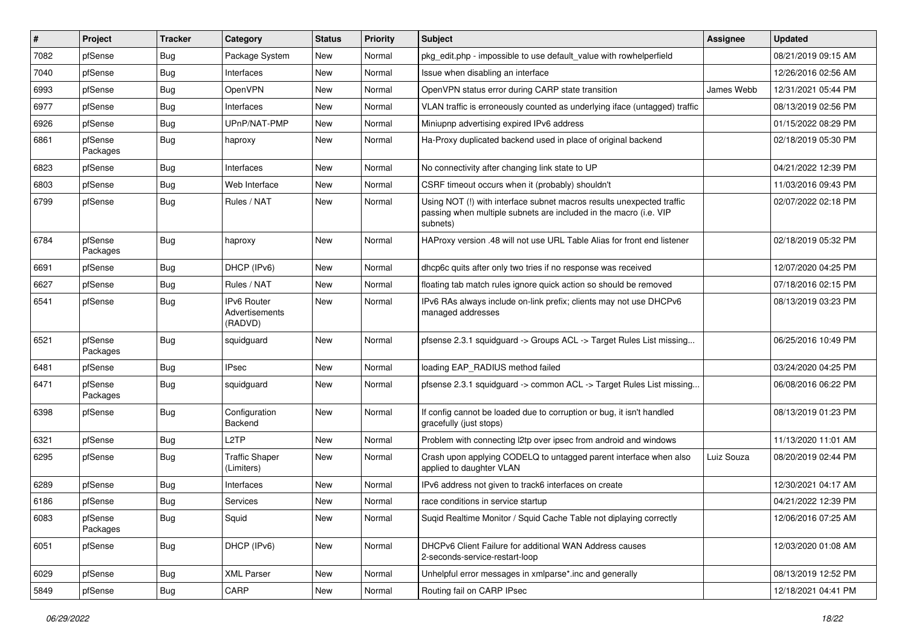| $\vert$ # | Project             | <b>Tracker</b> | Category                                 | <b>Status</b> | <b>Priority</b> | <b>Subject</b>                                                                                                                                         | Assignee   | <b>Updated</b>      |
|-----------|---------------------|----------------|------------------------------------------|---------------|-----------------|--------------------------------------------------------------------------------------------------------------------------------------------------------|------------|---------------------|
| 7082      | pfSense             | <b>Bug</b>     | Package System                           | New           | Normal          | pkg edit.php - impossible to use default value with rowhelperfield                                                                                     |            | 08/21/2019 09:15 AM |
| 7040      | pfSense             | Bug            | Interfaces                               | <b>New</b>    | Normal          | Issue when disabling an interface                                                                                                                      |            | 12/26/2016 02:56 AM |
| 6993      | pfSense             | <b>Bug</b>     | OpenVPN                                  | <b>New</b>    | Normal          | OpenVPN status error during CARP state transition                                                                                                      | James Webb | 12/31/2021 05:44 PM |
| 6977      | pfSense             | <b>Bug</b>     | Interfaces                               | <b>New</b>    | Normal          | VLAN traffic is erroneously counted as underlying iface (untagged) traffic                                                                             |            | 08/13/2019 02:56 PM |
| 6926      | pfSense             | <b>Bug</b>     | UPnP/NAT-PMP                             | <b>New</b>    | Normal          | Miniupnp advertising expired IPv6 address                                                                                                              |            | 01/15/2022 08:29 PM |
| 6861      | pfSense<br>Packages | Bug            | haproxy                                  | <b>New</b>    | Normal          | Ha-Proxy duplicated backend used in place of original backend                                                                                          |            | 02/18/2019 05:30 PM |
| 6823      | pfSense             | Bug            | Interfaces                               | <b>New</b>    | Normal          | No connectivity after changing link state to UP                                                                                                        |            | 04/21/2022 12:39 PM |
| 6803      | pfSense             | <b>Bug</b>     | Web Interface                            | <b>New</b>    | Normal          | CSRF timeout occurs when it (probably) shouldn't                                                                                                       |            | 11/03/2016 09:43 PM |
| 6799      | pfSense             | Bug            | Rules / NAT                              | <b>New</b>    | Normal          | Using NOT (!) with interface subnet macros results unexpected traffic<br>passing when multiple subnets are included in the macro (i.e. VIP<br>subnets) |            | 02/07/2022 02:18 PM |
| 6784      | pfSense<br>Packages | <b>Bug</b>     | haproxy                                  | New           | Normal          | HAProxy version .48 will not use URL Table Alias for front end listener                                                                                |            | 02/18/2019 05:32 PM |
| 6691      | pfSense             | <b>Bug</b>     | DHCP (IPv6)                              | <b>New</b>    | Normal          | dhcp6c quits after only two tries if no response was received                                                                                          |            | 12/07/2020 04:25 PM |
| 6627      | pfSense             | <b>Bug</b>     | Rules / NAT                              | <b>New</b>    | Normal          | floating tab match rules ignore quick action so should be removed                                                                                      |            | 07/18/2016 02:15 PM |
| 6541      | pfSense             | Bug            | IPv6 Router<br>Advertisements<br>(RADVD) | <b>New</b>    | Normal          | IPv6 RAs always include on-link prefix; clients may not use DHCPv6<br>managed addresses                                                                |            | 08/13/2019 03:23 PM |
| 6521      | pfSense<br>Packages | <b>Bug</b>     | squidguard                               | New           | Normal          | pfsense 2.3.1 squidguard -> Groups ACL -> Target Rules List missing                                                                                    |            | 06/25/2016 10:49 PM |
| 6481      | pfSense             | Bug            | <b>IPsec</b>                             | <b>New</b>    | Normal          | loading EAP_RADIUS method failed                                                                                                                       |            | 03/24/2020 04:25 PM |
| 6471      | pfSense<br>Packages | <b>Bug</b>     | squidguard                               | <b>New</b>    | Normal          | pfsense 2.3.1 squidguard -> common ACL -> Target Rules List missing                                                                                    |            | 06/08/2016 06:22 PM |
| 6398      | pfSense             | Bug            | Configuration<br>Backend                 | <b>New</b>    | Normal          | If config cannot be loaded due to corruption or bug, it isn't handled<br>gracefully (just stops)                                                       |            | 08/13/2019 01:23 PM |
| 6321      | pfSense             | <b>Bug</b>     | L2TP                                     | <b>New</b>    | Normal          | Problem with connecting I2tp over ipsec from android and windows                                                                                       |            | 11/13/2020 11:01 AM |
| 6295      | pfSense             | Bug            | <b>Traffic Shaper</b><br>(Limiters)      | <b>New</b>    | Normal          | Crash upon applying CODELQ to untagged parent interface when also<br>applied to daughter VLAN                                                          | Luiz Souza | 08/20/2019 02:44 PM |
| 6289      | pfSense             | <b>Bug</b>     | Interfaces                               | New           | Normal          | IPv6 address not given to track6 interfaces on create                                                                                                  |            | 12/30/2021 04:17 AM |
| 6186      | pfSense             | <b>Bug</b>     | Services                                 | New           | Normal          | race conditions in service startup                                                                                                                     |            | 04/21/2022 12:39 PM |
| 6083      | pfSense<br>Packages | <b>Bug</b>     | Squid                                    | New           | Normal          | Suqid Realtime Monitor / Squid Cache Table not diplaying correctly                                                                                     |            | 12/06/2016 07:25 AM |
| 6051      | pfSense             | <b>Bug</b>     | DHCP (IPv6)                              | New           | Normal          | DHCPv6 Client Failure for additional WAN Address causes<br>2-seconds-service-restart-loop                                                              |            | 12/03/2020 01:08 AM |
| 6029      | pfSense             | Bug            | <b>XML Parser</b>                        | New           | Normal          | Unhelpful error messages in xmlparse*.inc and generally                                                                                                |            | 08/13/2019 12:52 PM |
| 5849      | pfSense             | Bug            | CARP                                     | New           | Normal          | Routing fail on CARP IPsec                                                                                                                             |            | 12/18/2021 04:41 PM |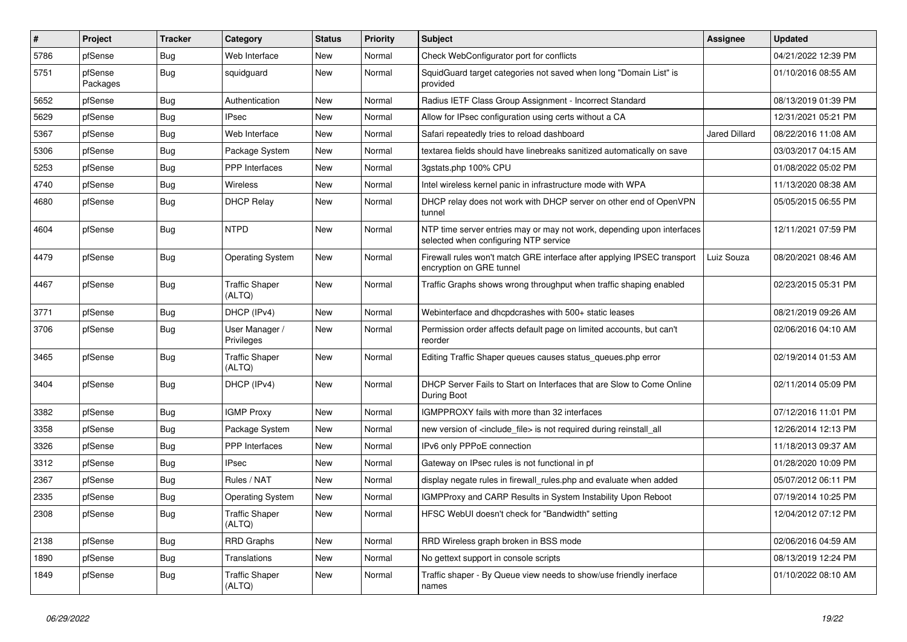| #    | Project             | <b>Tracker</b> | Category                        | <b>Status</b> | <b>Priority</b> | <b>Subject</b>                                                                                                  | <b>Assignee</b> | <b>Updated</b>      |
|------|---------------------|----------------|---------------------------------|---------------|-----------------|-----------------------------------------------------------------------------------------------------------------|-----------------|---------------------|
| 5786 | pfSense             | Bug            | Web Interface                   | New           | Normal          | Check WebConfigurator port for conflicts                                                                        |                 | 04/21/2022 12:39 PM |
| 5751 | pfSense<br>Packages | Bug            | squidguard                      | New           | Normal          | SquidGuard target categories not saved when long "Domain List" is<br>provided                                   |                 | 01/10/2016 08:55 AM |
| 5652 | pfSense             | Bug            | Authentication                  | New           | Normal          | Radius IETF Class Group Assignment - Incorrect Standard                                                         |                 | 08/13/2019 01:39 PM |
| 5629 | pfSense             | <b>Bug</b>     | <b>IPsec</b>                    | New           | Normal          | Allow for IPsec configuration using certs without a CA                                                          |                 | 12/31/2021 05:21 PM |
| 5367 | pfSense             | <b>Bug</b>     | Web Interface                   | New           | Normal          | Safari repeatedly tries to reload dashboard                                                                     | Jared Dillard   | 08/22/2016 11:08 AM |
| 5306 | pfSense             | Bug            | Package System                  | New           | Normal          | textarea fields should have linebreaks sanitized automatically on save                                          |                 | 03/03/2017 04:15 AM |
| 5253 | pfSense             | Bug            | <b>PPP</b> Interfaces           | New           | Normal          | 3gstats.php 100% CPU                                                                                            |                 | 01/08/2022 05:02 PM |
| 4740 | pfSense             | Bug            | Wireless                        | New           | Normal          | Intel wireless kernel panic in infrastructure mode with WPA                                                     |                 | 11/13/2020 08:38 AM |
| 4680 | pfSense             | Bug            | <b>DHCP Relay</b>               | New           | Normal          | DHCP relay does not work with DHCP server on other end of OpenVPN<br>tunnel                                     |                 | 05/05/2015 06:55 PM |
| 4604 | pfSense             | Bug            | <b>NTPD</b>                     | New           | Normal          | NTP time server entries may or may not work, depending upon interfaces<br>selected when configuring NTP service |                 | 12/11/2021 07:59 PM |
| 4479 | pfSense             | Bug            | <b>Operating System</b>         | New           | Normal          | Firewall rules won't match GRE interface after applying IPSEC transport<br>encryption on GRE tunnel             | Luiz Souza      | 08/20/2021 08:46 AM |
| 4467 | pfSense             | Bug            | <b>Traffic Shaper</b><br>(ALTQ) | New           | Normal          | Traffic Graphs shows wrong throughput when traffic shaping enabled                                              |                 | 02/23/2015 05:31 PM |
| 3771 | pfSense             | Bug            | DHCP (IPv4)                     | New           | Normal          | Webinterface and dhcpdcrashes with 500+ static leases                                                           |                 | 08/21/2019 09:26 AM |
| 3706 | pfSense             | <b>Bug</b>     | User Manager /<br>Privileges    | New           | Normal          | Permission order affects default page on limited accounts, but can't<br>reorder                                 |                 | 02/06/2016 04:10 AM |
| 3465 | pfSense             | Bug            | <b>Traffic Shaper</b><br>(ALTQ) | New           | Normal          | Editing Traffic Shaper queues causes status_queues.php error                                                    |                 | 02/19/2014 01:53 AM |
| 3404 | pfSense             | Bug            | DHCP (IPv4)                     | New           | Normal          | DHCP Server Fails to Start on Interfaces that are Slow to Come Online<br>During Boot                            |                 | 02/11/2014 05:09 PM |
| 3382 | pfSense             | <b>Bug</b>     | <b>IGMP Proxy</b>               | <b>New</b>    | Normal          | IGMPPROXY fails with more than 32 interfaces                                                                    |                 | 07/12/2016 11:01 PM |
| 3358 | pfSense             | Bug            | Package System                  | New           | Normal          | new version of <include_file> is not required during reinstall_all</include_file>                               |                 | 12/26/2014 12:13 PM |
| 3326 | pfSense             | <b>Bug</b>     | <b>PPP</b> Interfaces           | New           | Normal          | IPv6 only PPPoE connection                                                                                      |                 | 11/18/2013 09:37 AM |
| 3312 | pfSense             | Bug            | <b>IPsec</b>                    | New           | Normal          | Gateway on IPsec rules is not functional in pf                                                                  |                 | 01/28/2020 10:09 PM |
| 2367 | pfSense             | Bug            | Rules / NAT                     | <b>New</b>    | Normal          | display negate rules in firewall_rules.php and evaluate when added                                              |                 | 05/07/2012 06:11 PM |
| 2335 | pfSense             | <b>Bug</b>     | <b>Operating System</b>         | New           | Normal          | IGMPProxy and CARP Results in System Instability Upon Reboot                                                    |                 | 07/19/2014 10:25 PM |
| 2308 | pfSense             | Bug            | <b>Traffic Shaper</b><br>(ALTQ) | New           | Normal          | HFSC WebUI doesn't check for "Bandwidth" setting                                                                |                 | 12/04/2012 07:12 PM |
| 2138 | pfSense             | <b>Bug</b>     | <b>RRD Graphs</b>               | New           | Normal          | RRD Wireless graph broken in BSS mode                                                                           |                 | 02/06/2016 04:59 AM |
| 1890 | pfSense             | <b>Bug</b>     | Translations                    | New           | Normal          | No gettext support in console scripts                                                                           |                 | 08/13/2019 12:24 PM |
| 1849 | pfSense             | <b>Bug</b>     | <b>Traffic Shaper</b><br>(ALTQ) | New           | Normal          | Traffic shaper - By Queue view needs to show/use friendly inerface<br>names                                     |                 | 01/10/2022 08:10 AM |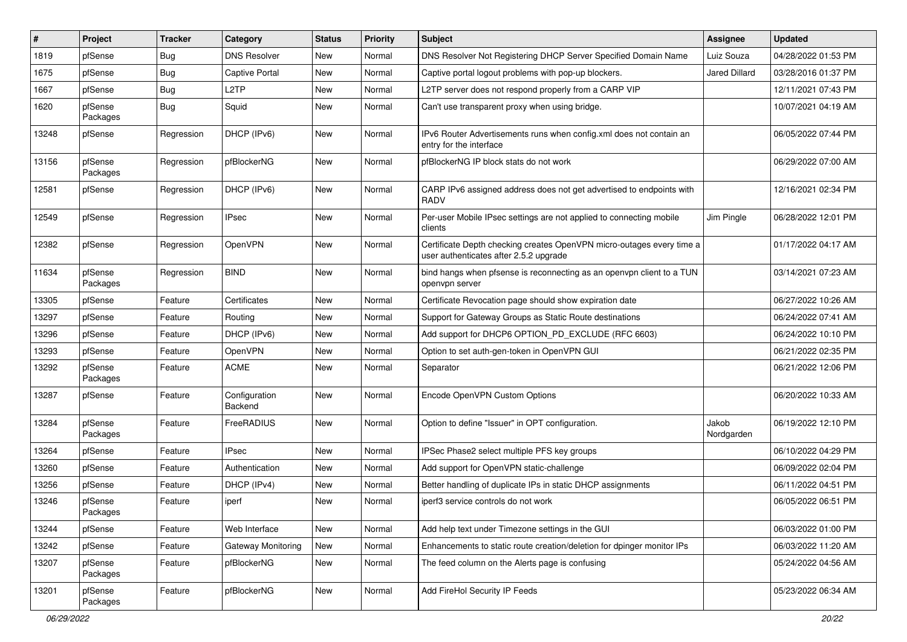| #     | Project             | <b>Tracker</b> | Category                 | <b>Status</b> | <b>Priority</b> | <b>Subject</b>                                                                                                  | <b>Assignee</b>      | <b>Updated</b>      |
|-------|---------------------|----------------|--------------------------|---------------|-----------------|-----------------------------------------------------------------------------------------------------------------|----------------------|---------------------|
| 1819  | pfSense             | <b>Bug</b>     | <b>DNS Resolver</b>      | New           | Normal          | DNS Resolver Not Registering DHCP Server Specified Domain Name                                                  | Luiz Souza           | 04/28/2022 01:53 PM |
| 1675  | pfSense             | Bug            | <b>Captive Portal</b>    | New           | Normal          | Captive portal logout problems with pop-up blockers.                                                            | <b>Jared Dillard</b> | 03/28/2016 01:37 PM |
| 1667  | pfSense             | Bug            | L <sub>2</sub> TP        | New           | Normal          | L2TP server does not respond properly from a CARP VIP                                                           |                      | 12/11/2021 07:43 PM |
| 1620  | pfSense<br>Packages | <b>Bug</b>     | Squid                    | New           | Normal          | Can't use transparent proxy when using bridge.                                                                  |                      | 10/07/2021 04:19 AM |
| 13248 | pfSense             | Regression     | DHCP (IPv6)              | New           | Normal          | IPv6 Router Advertisements runs when config.xml does not contain an<br>entry for the interface                  |                      | 06/05/2022 07:44 PM |
| 13156 | pfSense<br>Packages | Regression     | pfBlockerNG              | New           | Normal          | pfBlockerNG IP block stats do not work                                                                          |                      | 06/29/2022 07:00 AM |
| 12581 | pfSense             | Regression     | DHCP (IPv6)              | New           | Normal          | CARP IPv6 assigned address does not get advertised to endpoints with<br><b>RADV</b>                             |                      | 12/16/2021 02:34 PM |
| 12549 | pfSense             | Regression     | <b>IPsec</b>             | New           | Normal          | Per-user Mobile IPsec settings are not applied to connecting mobile<br>clients                                  | Jim Pingle           | 06/28/2022 12:01 PM |
| 12382 | pfSense             | Regression     | <b>OpenVPN</b>           | New           | Normal          | Certificate Depth checking creates OpenVPN micro-outages every time a<br>user authenticates after 2.5.2 upgrade |                      | 01/17/2022 04:17 AM |
| 11634 | pfSense<br>Packages | Regression     | <b>BIND</b>              | New           | Normal          | bind hangs when pfsense is reconnecting as an openvpn client to a TUN<br>openvpn server                         |                      | 03/14/2021 07:23 AM |
| 13305 | pfSense             | Feature        | Certificates             | <b>New</b>    | Normal          | Certificate Revocation page should show expiration date                                                         |                      | 06/27/2022 10:26 AM |
| 13297 | pfSense             | Feature        | Routing                  | New           | Normal          | Support for Gateway Groups as Static Route destinations                                                         |                      | 06/24/2022 07:41 AM |
| 13296 | pfSense             | Feature        | DHCP (IPv6)              | New           | Normal          | Add support for DHCP6 OPTION_PD_EXCLUDE (RFC 6603)                                                              |                      | 06/24/2022 10:10 PM |
| 13293 | pfSense             | Feature        | <b>OpenVPN</b>           | New           | Normal          | Option to set auth-gen-token in OpenVPN GUI                                                                     |                      | 06/21/2022 02:35 PM |
| 13292 | pfSense<br>Packages | Feature        | <b>ACME</b>              | New           | Normal          | Separator                                                                                                       |                      | 06/21/2022 12:06 PM |
| 13287 | pfSense             | Feature        | Configuration<br>Backend | New           | Normal          | Encode OpenVPN Custom Options                                                                                   |                      | 06/20/2022 10:33 AM |
| 13284 | pfSense<br>Packages | Feature        | FreeRADIUS               | <b>New</b>    | Normal          | Option to define "Issuer" in OPT configuration.                                                                 | Jakob<br>Nordgarden  | 06/19/2022 12:10 PM |
| 13264 | pfSense             | Feature        | <b>IPsec</b>             | New           | Normal          | IPSec Phase2 select multiple PFS key groups                                                                     |                      | 06/10/2022 04:29 PM |
| 13260 | pfSense             | Feature        | Authentication           | New           | Normal          | Add support for OpenVPN static-challenge                                                                        |                      | 06/09/2022 02:04 PM |
| 13256 | pfSense             | Feature        | DHCP (IPv4)              | New           | Normal          | Better handling of duplicate IPs in static DHCP assignments                                                     |                      | 06/11/2022 04:51 PM |
| 13246 | pfSense<br>Packages | Feature        | iperf                    | New           | Normal          | iperf3 service controls do not work                                                                             |                      | 06/05/2022 06:51 PM |
| 13244 | pfSense             | Feature        | Web Interface            | New           | Normal          | Add help text under Timezone settings in the GUI                                                                |                      | 06/03/2022 01:00 PM |
| 13242 | pfSense             | Feature        | Gateway Monitoring       | New           | Normal          | Enhancements to static route creation/deletion for dpinger monitor IPs                                          |                      | 06/03/2022 11:20 AM |
| 13207 | pfSense<br>Packages | Feature        | pfBlockerNG              | New           | Normal          | The feed column on the Alerts page is confusing                                                                 |                      | 05/24/2022 04:56 AM |
| 13201 | pfSense<br>Packages | Feature        | pfBlockerNG              | New           | Normal          | Add FireHol Security IP Feeds                                                                                   |                      | 05/23/2022 06:34 AM |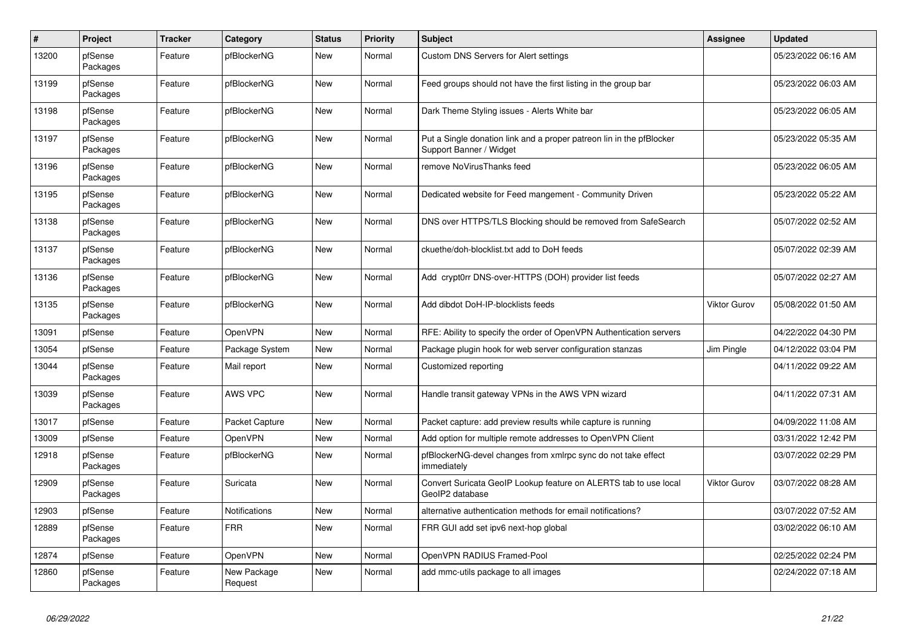| #     | Project             | <b>Tracker</b> | Category               | <b>Status</b> | Priority | <b>Subject</b>                                                                                  | <b>Assignee</b>     | <b>Updated</b>      |
|-------|---------------------|----------------|------------------------|---------------|----------|-------------------------------------------------------------------------------------------------|---------------------|---------------------|
| 13200 | pfSense<br>Packages | Feature        | pfBlockerNG            | <b>New</b>    | Normal   | Custom DNS Servers for Alert settings                                                           |                     | 05/23/2022 06:16 AM |
| 13199 | pfSense<br>Packages | Feature        | pfBlockerNG            | <b>New</b>    | Normal   | Feed groups should not have the first listing in the group bar                                  |                     | 05/23/2022 06:03 AM |
| 13198 | pfSense<br>Packages | Feature        | pfBlockerNG            | <b>New</b>    | Normal   | Dark Theme Styling issues - Alerts White bar                                                    |                     | 05/23/2022 06:05 AM |
| 13197 | pfSense<br>Packages | Feature        | pfBlockerNG            | <b>New</b>    | Normal   | Put a Single donation link and a proper patreon lin in the pfBlocker<br>Support Banner / Widget |                     | 05/23/2022 05:35 AM |
| 13196 | pfSense<br>Packages | Feature        | pfBlockerNG            | <b>New</b>    | Normal   | remove NoVirusThanks feed                                                                       |                     | 05/23/2022 06:05 AM |
| 13195 | pfSense<br>Packages | Feature        | pfBlockerNG            | <b>New</b>    | Normal   | Dedicated website for Feed mangement - Community Driven                                         |                     | 05/23/2022 05:22 AM |
| 13138 | pfSense<br>Packages | Feature        | pfBlockerNG            | <b>New</b>    | Normal   | DNS over HTTPS/TLS Blocking should be removed from SafeSearch                                   |                     | 05/07/2022 02:52 AM |
| 13137 | pfSense<br>Packages | Feature        | pfBlockerNG            | <b>New</b>    | Normal   | ckuethe/doh-blocklist.txt add to DoH feeds                                                      |                     | 05/07/2022 02:39 AM |
| 13136 | pfSense<br>Packages | Feature        | pfBlockerNG            | <b>New</b>    | Normal   | Add crypt0rr DNS-over-HTTPS (DOH) provider list feeds                                           |                     | 05/07/2022 02:27 AM |
| 13135 | pfSense<br>Packages | Feature        | pfBlockerNG            | <b>New</b>    | Normal   | Add dibdot DoH-IP-blocklists feeds                                                              | <b>Viktor Gurov</b> | 05/08/2022 01:50 AM |
| 13091 | pfSense             | Feature        | OpenVPN                | <b>New</b>    | Normal   | RFE: Ability to specify the order of OpenVPN Authentication servers                             |                     | 04/22/2022 04:30 PM |
| 13054 | pfSense             | Feature        | Package System         | <b>New</b>    | Normal   | Package plugin hook for web server configuration stanzas                                        | Jim Pingle          | 04/12/2022 03:04 PM |
| 13044 | pfSense<br>Packages | Feature        | Mail report            | <b>New</b>    | Normal   | Customized reporting                                                                            |                     | 04/11/2022 09:22 AM |
| 13039 | pfSense<br>Packages | Feature        | AWS VPC                | <b>New</b>    | Normal   | Handle transit gateway VPNs in the AWS VPN wizard                                               |                     | 04/11/2022 07:31 AM |
| 13017 | pfSense             | Feature        | Packet Capture         | <b>New</b>    | Normal   | Packet capture: add preview results while capture is running                                    |                     | 04/09/2022 11:08 AM |
| 13009 | pfSense             | Feature        | <b>OpenVPN</b>         | <b>New</b>    | Normal   | Add option for multiple remote addresses to OpenVPN Client                                      |                     | 03/31/2022 12:42 PM |
| 12918 | pfSense<br>Packages | Feature        | pfBlockerNG            | New           | Normal   | pfBlockerNG-devel changes from xmlrpc sync do not take effect<br>immediately                    |                     | 03/07/2022 02:29 PM |
| 12909 | pfSense<br>Packages | Feature        | Suricata               | <b>New</b>    | Normal   | Convert Suricata GeoIP Lookup feature on ALERTS tab to use local<br>GeoIP2 database             | <b>Viktor Gurov</b> | 03/07/2022 08:28 AM |
| 12903 | pfSense             | Feature        | Notifications          | <b>New</b>    | Normal   | alternative authentication methods for email notifications?                                     |                     | 03/07/2022 07:52 AM |
| 12889 | pfSense<br>Packages | Feature        | <b>FRR</b>             | <b>New</b>    | Normal   | FRR GUI add set ipv6 next-hop global                                                            |                     | 03/02/2022 06:10 AM |
| 12874 | pfSense             | Feature        | <b>OpenVPN</b>         | <b>New</b>    | Normal   | OpenVPN RADIUS Framed-Pool                                                                      |                     | 02/25/2022 02:24 PM |
| 12860 | pfSense<br>Packages | Feature        | New Package<br>Request | <b>New</b>    | Normal   | add mmc-utils package to all images                                                             |                     | 02/24/2022 07:18 AM |